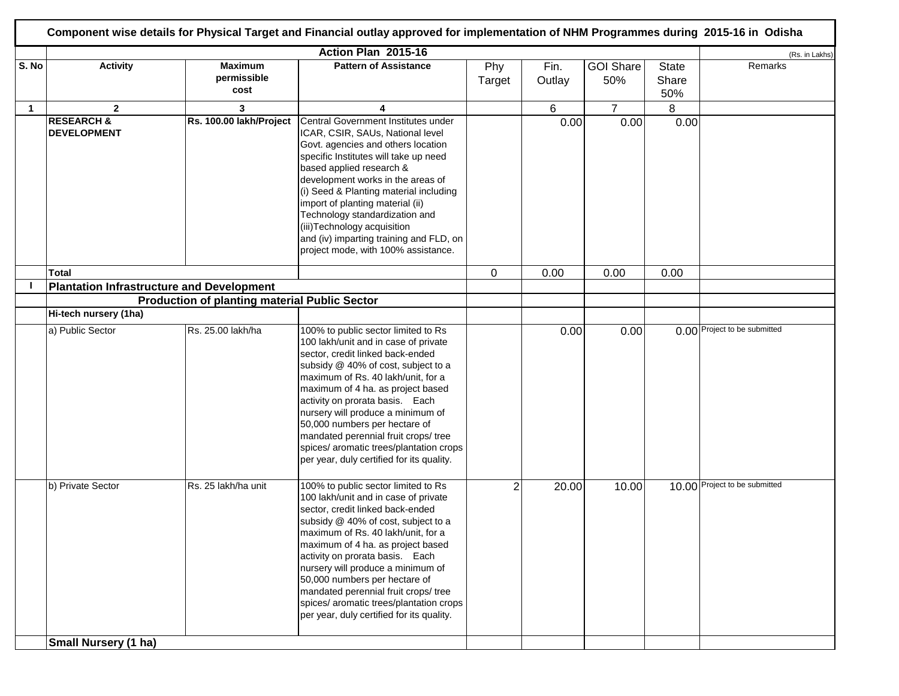|             |                                                  |                                                      | Action Plan 2015-16                                                                                                                                                                                                                                                                                                                                                                                                                                                        |                |                |                         |                              | (Rs. in Lakhs)                |
|-------------|--------------------------------------------------|------------------------------------------------------|----------------------------------------------------------------------------------------------------------------------------------------------------------------------------------------------------------------------------------------------------------------------------------------------------------------------------------------------------------------------------------------------------------------------------------------------------------------------------|----------------|----------------|-------------------------|------------------------------|-------------------------------|
| S. No       | <b>Activity</b>                                  | <b>Maximum</b><br>permissible<br>cost                | <b>Pattern of Assistance</b>                                                                                                                                                                                                                                                                                                                                                                                                                                               | Phy<br>Target  | Fin.<br>Outlay | <b>GOI Share</b><br>50% | <b>State</b><br>Share<br>50% | Remarks                       |
| $\mathbf 1$ | $\overline{2}$                                   | 3                                                    | 4                                                                                                                                                                                                                                                                                                                                                                                                                                                                          |                | 6              | $\overline{7}$          | 8                            |                               |
|             | <b>RESEARCH &amp;</b><br><b>DEVELOPMENT</b>      | Rs. 100.00 lakh/Project                              | Central Government Institutes under<br>ICAR, CSIR, SAUs, National level<br>Govt. agencies and others location<br>specific Institutes will take up need<br>based applied research &<br>development works in the areas of<br>(i) Seed & Planting material including<br>import of planting material (ii)<br>Technology standardization and<br>(iii) Technology acquisition<br>and (iv) imparting training and FLD, on<br>project mode, with 100% assistance.                  |                | 0.00           | 0.00                    | 0.00                         |                               |
|             | Total                                            |                                                      |                                                                                                                                                                                                                                                                                                                                                                                                                                                                            | 0              | 0.00           | 0.00                    | 0.00                         |                               |
|             | <b>Plantation Infrastructure and Development</b> |                                                      |                                                                                                                                                                                                                                                                                                                                                                                                                                                                            |                |                |                         |                              |                               |
|             |                                                  | <b>Production of planting material Public Sector</b> |                                                                                                                                                                                                                                                                                                                                                                                                                                                                            |                |                |                         |                              |                               |
|             | Hi-tech nursery (1ha)                            |                                                      |                                                                                                                                                                                                                                                                                                                                                                                                                                                                            |                |                |                         |                              |                               |
|             | a) Public Sector                                 | Rs. 25.00 lakh/ha                                    | 100% to public sector limited to Rs<br>100 lakh/unit and in case of private<br>sector, credit linked back-ended<br>subsidy @ 40% of cost, subject to a<br>maximum of Rs. 40 lakh/unit, for a<br>maximum of 4 ha. as project based<br>activity on prorata basis. Each<br>nursery will produce a minimum of<br>50,000 numbers per hectare of<br>mandated perennial fruit crops/ tree<br>spices/ aromatic trees/plantation crops<br>per year, duly certified for its quality. |                | 0.00           | 0.00                    |                              | 0.00 Project to be submitted  |
|             | b) Private Sector                                | Rs. 25 lakh/ha unit                                  | 100% to public sector limited to Rs<br>100 lakh/unit and in case of private<br>sector, credit linked back-ended<br>subsidy @ 40% of cost, subject to a<br>maximum of Rs. 40 lakh/unit, for a<br>maximum of 4 ha. as project based<br>activity on prorata basis. Each<br>nursery will produce a minimum of<br>50,000 numbers per hectare of<br>mandated perennial fruit crops/ tree<br>spices/ aromatic trees/plantation crops<br>per year, duly certified for its quality. | $\overline{c}$ | 20.00          | 10.00                   |                              | 10.00 Project to be submitted |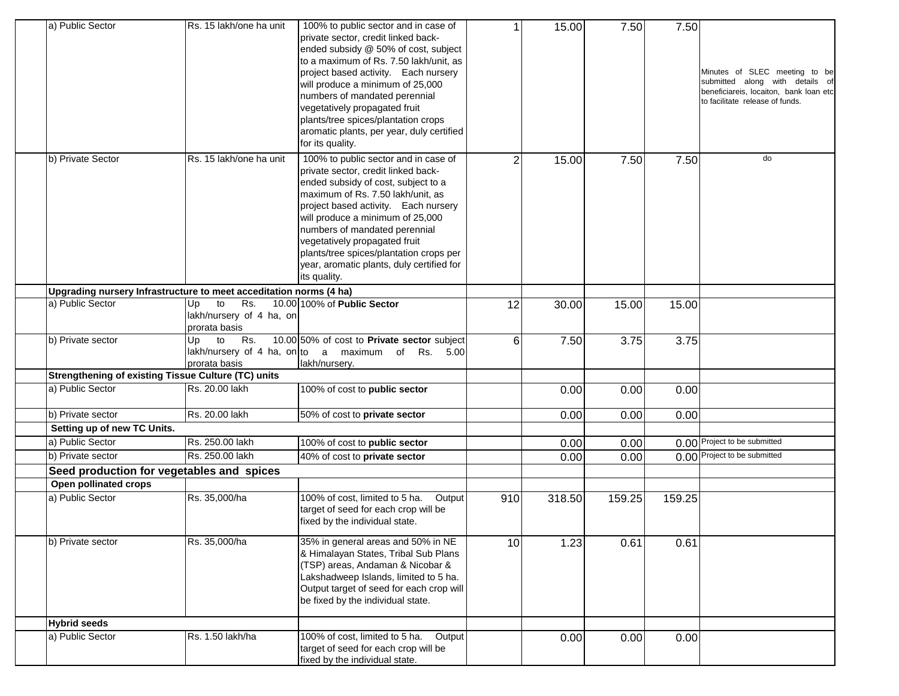| a) Public Sector                                                   | Rs. 15 lakh/one ha unit                     | 100% to public sector and in case of<br>private sector, credit linked back-    |     | 15.00  | 7.50   | 7.50   |                                                                  |
|--------------------------------------------------------------------|---------------------------------------------|--------------------------------------------------------------------------------|-----|--------|--------|--------|------------------------------------------------------------------|
|                                                                    |                                             | ended subsidy @ 50% of cost, subject<br>to a maximum of Rs. 7.50 lakh/unit, as |     |        |        |        |                                                                  |
|                                                                    |                                             | project based activity. Each nursery                                           |     |        |        |        | Minutes of SLEC meeting to be<br>submitted along with details of |
|                                                                    |                                             | will produce a minimum of 25,000                                               |     |        |        |        | beneficiareis, locaiton, bank loan etc                           |
|                                                                    |                                             | numbers of mandated perennial                                                  |     |        |        |        | to facilitate release of funds.                                  |
|                                                                    |                                             | vegetatively propagated fruit                                                  |     |        |        |        |                                                                  |
|                                                                    |                                             | plants/tree spices/plantation crops                                            |     |        |        |        |                                                                  |
|                                                                    |                                             | aromatic plants, per year, duly certified                                      |     |        |        |        |                                                                  |
|                                                                    |                                             | for its quality.                                                               |     |        |        |        |                                                                  |
| b) Private Sector                                                  | Rs. 15 lakh/one ha unit                     | 100% to public sector and in case of                                           | 2   | 15.00  | 7.50   | 7.50   | do                                                               |
|                                                                    |                                             | private sector, credit linked back-                                            |     |        |        |        |                                                                  |
|                                                                    |                                             | ended subsidy of cost, subject to a                                            |     |        |        |        |                                                                  |
|                                                                    |                                             | maximum of Rs. 7.50 lakh/unit, as                                              |     |        |        |        |                                                                  |
|                                                                    |                                             | project based activity. Each nursery                                           |     |        |        |        |                                                                  |
|                                                                    |                                             | will produce a minimum of 25,000                                               |     |        |        |        |                                                                  |
|                                                                    |                                             | numbers of mandated perennial                                                  |     |        |        |        |                                                                  |
|                                                                    |                                             | vegetatively propagated fruit                                                  |     |        |        |        |                                                                  |
|                                                                    |                                             | plants/tree spices/plantation crops per                                        |     |        |        |        |                                                                  |
|                                                                    |                                             | year, aromatic plants, duly certified for                                      |     |        |        |        |                                                                  |
|                                                                    |                                             | its quality.                                                                   |     |        |        |        |                                                                  |
| Upgrading nursery Infrastructure to meet acceditation norms (4 ha) |                                             |                                                                                |     |        |        |        |                                                                  |
| a) Public Sector                                                   | to<br>Rs.<br>Up<br>lakh/nursery of 4 ha, on | 10.00 100% of Public Sector                                                    | 12  | 30.00  | 15.00  | 15.00  |                                                                  |
|                                                                    | prorata basis                               |                                                                                |     |        |        |        |                                                                  |
| b) Private sector                                                  | to<br>Rs.<br>Up.                            | 10.00 50% of cost to Private sector subject                                    | 6   | 7.50   | 3.75   | 3.75   |                                                                  |
|                                                                    |                                             | lakh/nursery of 4 ha, on to a maximum of Rs. 5.00                              |     |        |        |        |                                                                  |
|                                                                    | prorata basis                               | lakh/nursery.                                                                  |     |        |        |        |                                                                  |
| <b>Strengthening of existing Tissue Culture (TC) units</b>         |                                             |                                                                                |     |        |        |        |                                                                  |
| a) Public Sector                                                   | Rs. 20.00 lakh                              | 100% of cost to public sector                                                  |     | 0.00   | 0.00   | 0.00   |                                                                  |
|                                                                    |                                             |                                                                                |     |        |        |        |                                                                  |
| b) Private sector                                                  | Rs. 20.00 lakh                              | 50% of cost to private sector                                                  |     | 0.00   | 0.00   | 0.00   |                                                                  |
| Setting up of new TC Units.                                        |                                             |                                                                                |     |        |        |        |                                                                  |
| a) Public Sector                                                   | Rs. 250.00 lakh                             | 100% of cost to public sector                                                  |     | 0.00   | 0.00   |        | 0.00 Project to be submitted                                     |
| b) Private sector                                                  | Rs. 250.00 lakh                             | 40% of cost to private sector                                                  |     | 0.00   | 0.00   |        | 0.00 Project to be submitted                                     |
| Seed production for vegetables and spices                          |                                             |                                                                                |     |        |        |        |                                                                  |
| Open pollinated crops                                              |                                             |                                                                                |     |        |        |        |                                                                  |
| a) Public Sector                                                   | Rs. 35,000/ha                               | 100% of cost, limited to 5 ha.<br>Output                                       | 910 | 318.50 | 159.25 | 159.25 |                                                                  |
|                                                                    |                                             | target of seed for each crop will be                                           |     |        |        |        |                                                                  |
|                                                                    |                                             | fixed by the individual state.                                                 |     |        |        |        |                                                                  |
| b) Private sector                                                  | Rs. 35,000/ha                               | 35% in general areas and 50% in NE                                             |     |        |        |        |                                                                  |
|                                                                    |                                             | & Himalayan States, Tribal Sub Plans                                           | 10  | 1.23   | 0.61   | 0.61   |                                                                  |
|                                                                    |                                             | (TSP) areas, Andaman & Nicobar &                                               |     |        |        |        |                                                                  |
|                                                                    |                                             | Lakshadweep Islands, limited to 5 ha.                                          |     |        |        |        |                                                                  |
|                                                                    |                                             | Output target of seed for each crop will                                       |     |        |        |        |                                                                  |
|                                                                    |                                             | be fixed by the individual state.                                              |     |        |        |        |                                                                  |
|                                                                    |                                             |                                                                                |     |        |        |        |                                                                  |
| <b>Hybrid seeds</b>                                                |                                             |                                                                                |     |        |        |        |                                                                  |
| a) Public Sector                                                   | Rs. 1.50 lakh/ha                            | 100% of cost, limited to 5 ha.<br>Output                                       |     | 0.00   | 0.00   | 0.00   |                                                                  |
|                                                                    |                                             | target of seed for each crop will be                                           |     |        |        |        |                                                                  |
|                                                                    |                                             | fixed by the individual state.                                                 |     |        |        |        |                                                                  |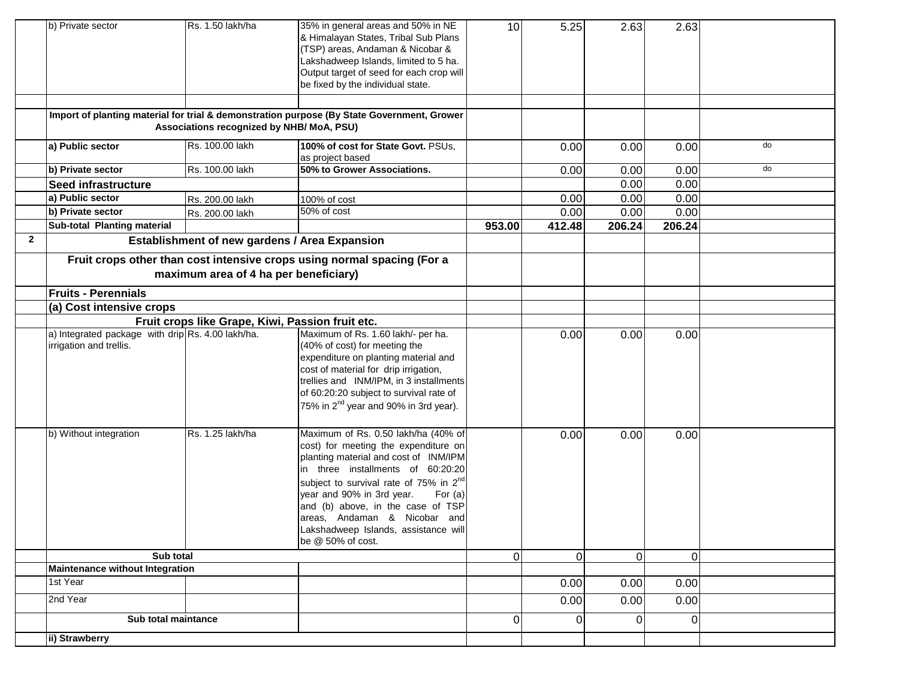|              | b) Private sector                                                                                     | Rs. 1.50 lakh/ha                              | 35% in general areas and 50% in NE<br>& Himalayan States, Tribal Sub Plans<br>(TSP) areas, Andaman & Nicobar &<br>Lakshadweep Islands, limited to 5 ha.<br>Output target of seed for each crop will<br>be fixed by the individual state.                                                                                                                                                      | 10             | 5.25           | 2.63     | 2.63           |    |
|--------------|-------------------------------------------------------------------------------------------------------|-----------------------------------------------|-----------------------------------------------------------------------------------------------------------------------------------------------------------------------------------------------------------------------------------------------------------------------------------------------------------------------------------------------------------------------------------------------|----------------|----------------|----------|----------------|----|
|              |                                                                                                       | Associations recognized by NHB/ MoA, PSU)     | Import of planting material for trial & demonstration purpose (By State Government, Grower                                                                                                                                                                                                                                                                                                    |                |                |          |                |    |
|              | a) Public sector                                                                                      | Rs. 100.00 lakh                               | 100% of cost for State Govt. PSUs,<br>as project based                                                                                                                                                                                                                                                                                                                                        |                | 0.00           | 0.00     | 0.00           | do |
|              | b) Private sector                                                                                     | Rs. 100.00 lakh                               | 50% to Grower Associations.                                                                                                                                                                                                                                                                                                                                                                   |                | 0.00           | 0.00     | 0.00           | do |
|              | Seed infrastructure                                                                                   |                                               |                                                                                                                                                                                                                                                                                                                                                                                               |                |                | 0.00     | 0.00           |    |
|              | a) Public sector                                                                                      | Rs. 200.00 lakh                               | 100% of cost                                                                                                                                                                                                                                                                                                                                                                                  |                | 0.00           | 0.00     | 0.00           |    |
|              | b) Private sector                                                                                     | Rs. 200.00 lakh                               | 50% of cost                                                                                                                                                                                                                                                                                                                                                                                   |                | 0.00           | 0.00     | 0.00           |    |
|              | Sub-total Planting material                                                                           |                                               |                                                                                                                                                                                                                                                                                                                                                                                               | 953.00         | 412.48         | 206.24   | 206.24         |    |
| $\mathbf{2}$ |                                                                                                       | Establishment of new gardens / Area Expansion |                                                                                                                                                                                                                                                                                                                                                                                               |                |                |          |                |    |
|              |                                                                                                       | maximum area of 4 ha per beneficiary)         | Fruit crops other than cost intensive crops using normal spacing (For a                                                                                                                                                                                                                                                                                                                       |                |                |          |                |    |
|              | <b>Fruits - Perennials</b>                                                                            |                                               |                                                                                                                                                                                                                                                                                                                                                                                               |                |                |          |                |    |
|              | (a) Cost intensive crops                                                                              |                                               |                                                                                                                                                                                                                                                                                                                                                                                               |                |                |          |                |    |
|              | Fruit crops like Grape, Kiwi, Passion fruit etc.<br>a) Integrated package with drip Rs. 4.00 lakh/ha. |                                               |                                                                                                                                                                                                                                                                                                                                                                                               |                |                |          |                |    |
|              | irrigation and trellis.                                                                               |                                               | Maximum of Rs. 1.60 lakh/- per ha.<br>(40% of cost) for meeting the<br>expenditure on planting material and<br>cost of material for drip irrigation,<br>trellies and INM/IPM, in 3 installments<br>of 60:20:20 subject to survival rate of<br>75% in 2 <sup>nd</sup> year and 90% in 3rd year).                                                                                               |                | 0.00           | 0.00     | 0.00           |    |
|              | b) Without integration                                                                                | Rs. 1.25 lakh/ha                              | Maximum of Rs. 0.50 lakh/ha (40% of<br>cost) for meeting the expenditure on<br>planting material and cost of INM/IPM<br>in three installments of 60:20:20<br>subject to survival rate of 75% in 2 <sup>nd</sup><br>year and 90% in 3rd year.<br>For $(a)$<br>and (b) above, in the case of TSP<br>areas, Andaman & Nicobar and<br>Lakshadweep Islands, assistance will<br>be $@$ 50% of cost. |                | 0.00           | 0.00     | 0.00           |    |
|              | Sub total                                                                                             |                                               |                                                                                                                                                                                                                                                                                                                                                                                               | $\Omega$       | $\overline{O}$ | $\Omega$ | $\overline{0}$ |    |
|              | <b>Maintenance without Integration</b>                                                                |                                               |                                                                                                                                                                                                                                                                                                                                                                                               |                |                |          |                |    |
|              | 1st Year                                                                                              |                                               |                                                                                                                                                                                                                                                                                                                                                                                               |                | 0.00           | 0.00     | 0.00           |    |
|              | 2nd Year                                                                                              |                                               |                                                                                                                                                                                                                                                                                                                                                                                               |                | 0.00           | 0.00     | 0.00           |    |
|              | Sub total maintance                                                                                   |                                               |                                                                                                                                                                                                                                                                                                                                                                                               | $\overline{0}$ | $\Omega$       | $\Omega$ | $\Omega$       |    |
|              | ii) Strawberry                                                                                        |                                               |                                                                                                                                                                                                                                                                                                                                                                                               |                |                |          |                |    |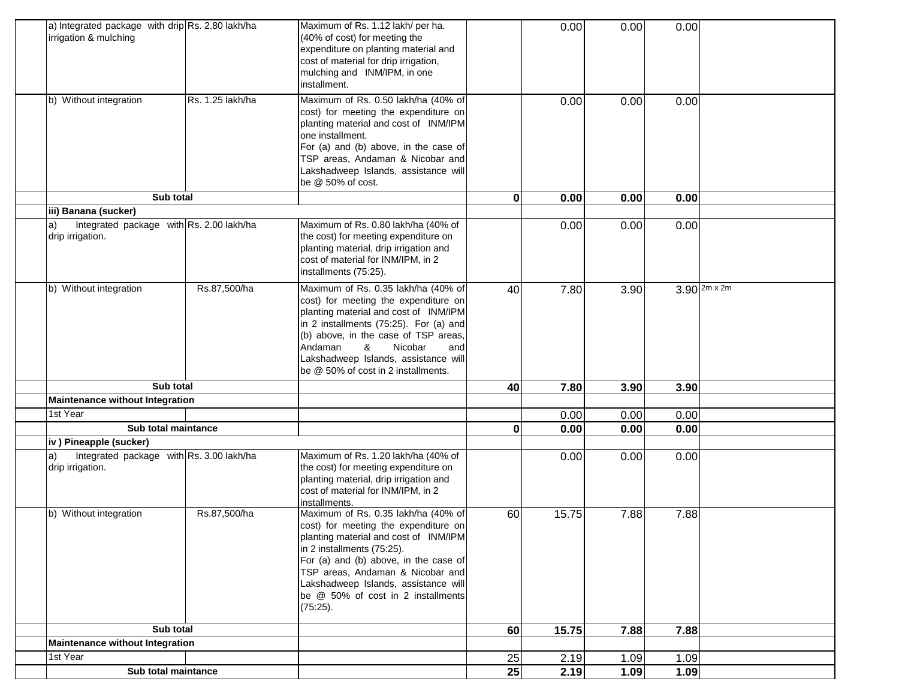| a) Integrated package with drip Rs. 2.80 lakh/ha<br>irrigation & mulching                          |                  | Maximum of Rs. 1.12 lakh/ per ha.<br>(40% of cost) for meeting the<br>expenditure on planting material and<br>cost of material for drip irrigation,<br>mulching and INM/IPM, in one<br>installment.                                                                                                                          |             | 0.00  | 0.00 | 0.00                  |  |
|----------------------------------------------------------------------------------------------------|------------------|------------------------------------------------------------------------------------------------------------------------------------------------------------------------------------------------------------------------------------------------------------------------------------------------------------------------------|-------------|-------|------|-----------------------|--|
| b) Without integration                                                                             | Rs. 1.25 lakh/ha | Maximum of Rs. 0.50 lakh/ha (40% of<br>cost) for meeting the expenditure on<br>planting material and cost of INM/IPM<br>one installment.<br>For (a) and (b) above, in the case of<br>TSP areas, Andaman & Nicobar and<br>Lakshadweep Islands, assistance will<br>be @ 50% of cost.                                           |             | 0.00  | 0.00 | 0.00                  |  |
| Sub total                                                                                          |                  |                                                                                                                                                                                                                                                                                                                              | $\mathbf 0$ | 0.00  | 0.00 | 0.00                  |  |
| iii) Banana (sucker)<br>Integrated package with Rs. 2.00 lakh/ha<br>$\vert a)$<br>drip irrigation. |                  | Maximum of Rs. 0.80 lakh/ha (40% of<br>the cost) for meeting expenditure on<br>planting material, drip irrigation and<br>cost of material for INM/IPM, in 2<br>installments (75:25).                                                                                                                                         |             | 0.00  | 0.00 | 0.00                  |  |
| b) Without integration                                                                             | Rs.87,500/ha     | Maximum of Rs. 0.35 lakh/ha (40% of<br>cost) for meeting the expenditure on<br>planting material and cost of INM/IPM<br>in 2 installments (75:25). For (a) and<br>(b) above, in the case of TSP areas,<br>Andaman<br>&<br>Nicobar<br>and<br>Lakshadweep Islands, assistance will<br>be @ 50% of cost in 2 installments.      | 40          | 7.80  | 3.90 | $3.90$ $2m \times 2m$ |  |
| Sub total                                                                                          |                  |                                                                                                                                                                                                                                                                                                                              | 40          | 7.80  | 3.90 | 3.90                  |  |
| Maintenance without Integration                                                                    |                  |                                                                                                                                                                                                                                                                                                                              |             |       |      |                       |  |
| 1st Year                                                                                           |                  |                                                                                                                                                                                                                                                                                                                              |             | 0.00  | 0.00 | 0.00                  |  |
| Sub total maintance                                                                                |                  |                                                                                                                                                                                                                                                                                                                              | 0           | 0.00  | 0.00 | 0.00                  |  |
| iv) Pineapple (sucker)                                                                             |                  |                                                                                                                                                                                                                                                                                                                              |             |       |      |                       |  |
| Integrated package with Rs. 3.00 lakh/ha<br>a)<br>drip irrigation.                                 |                  | Maximum of Rs. 1.20 lakh/ha (40% of<br>the cost) for meeting expenditure on<br>planting material, drip irrigation and<br>cost of material for INM/IPM, in 2<br>installments.                                                                                                                                                 |             | 0.00  | 0.00 | 0.00                  |  |
| b) Without integration                                                                             | Rs.87,500/ha     | Maximum of Rs. 0.35 lakh/ha (40% of<br>cost) for meeting the expenditure on<br>planting material and cost of INM/IPM<br>in 2 installments (75:25).<br>For (a) and (b) above, in the case of<br>TSP areas, Andaman & Nicobar and<br>Lakshadweep Islands, assistance will<br>be @ 50% of cost in 2 installments<br>$(75:25)$ . | 60          | 15.75 | 7.88 | 7.88                  |  |
| Sub total                                                                                          |                  |                                                                                                                                                                                                                                                                                                                              | 60          | 15.75 | 7.88 | 7.88                  |  |
| Maintenance without Integration                                                                    |                  |                                                                                                                                                                                                                                                                                                                              |             |       |      |                       |  |
| 1st Year                                                                                           |                  |                                                                                                                                                                                                                                                                                                                              | 25          | 2.19  | 1.09 | 1.09                  |  |
| Sub total maintance                                                                                |                  |                                                                                                                                                                                                                                                                                                                              | 25          | 2.19  | 1.09 | 1.09                  |  |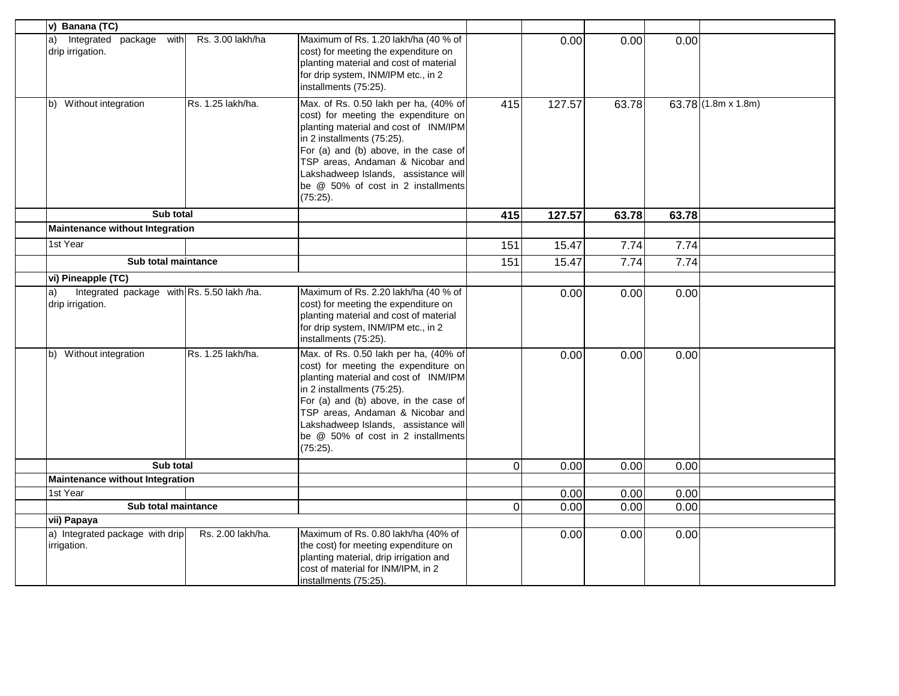| v) Banana (TC)                                                       |                   |                                                                                                                                                                                                                                                                                                                             |          |        |       |       |                            |
|----------------------------------------------------------------------|-------------------|-----------------------------------------------------------------------------------------------------------------------------------------------------------------------------------------------------------------------------------------------------------------------------------------------------------------------------|----------|--------|-------|-------|----------------------------|
| Integrated package<br>with<br>a)<br>drip irrigation.                 | Rs. 3.00 lakh/ha  | Maximum of Rs. 1.20 lakh/ha (40 % of<br>cost) for meeting the expenditure on<br>planting material and cost of material<br>for drip system, INM/IPM etc., in 2<br>installments (75:25).                                                                                                                                      |          | 0.00   | 0.00  | 0.00  |                            |
| b) Without integration                                               | Rs. 1.25 lakh/ha. | Max. of Rs. 0.50 lakh per ha, (40% of<br>cost) for meeting the expenditure on<br>planting material and cost of INM/IPM<br>in 2 installments (75:25).<br>For (a) and (b) above, in the case of<br>TSP areas, Andaman & Nicobar and<br>Lakshadweep Islands, assistance will<br>be @ 50% of cost in 2 installments<br>(75:25). | 415      | 127.57 | 63.78 |       | 63.78 $(1.8m \times 1.8m)$ |
| Sub total                                                            |                   |                                                                                                                                                                                                                                                                                                                             | 415      | 127.57 | 63.78 | 63.78 |                            |
| Maintenance without Integration                                      |                   |                                                                                                                                                                                                                                                                                                                             |          |        |       |       |                            |
| 1st Year                                                             |                   |                                                                                                                                                                                                                                                                                                                             | 151      | 15.47  | 7.74  | 7.74  |                            |
| Sub total maintance                                                  |                   |                                                                                                                                                                                                                                                                                                                             | 151      | 15.47  | 7.74  | 7.74  |                            |
| vi) Pineapple (TC)                                                   |                   |                                                                                                                                                                                                                                                                                                                             |          |        |       |       |                            |
| Integrated package with Rs. 5.50 lakh /ha.<br>a)<br>drip irrigation. |                   | Maximum of Rs. 2.20 lakh/ha (40 % of<br>cost) for meeting the expenditure on<br>planting material and cost of material<br>for drip system, INM/IPM etc., in 2<br>installments (75:25).                                                                                                                                      |          | 0.00   | 0.00  | 0.00  |                            |
| b) Without integration                                               | Rs. 1.25 lakh/ha. | Max. of Rs. 0.50 lakh per ha, (40% of<br>cost) for meeting the expenditure on<br>planting material and cost of INM/IPM<br>in 2 installments (75:25).<br>For (a) and (b) above, in the case of<br>TSP areas, Andaman & Nicobar and<br>Lakshadweep Islands, assistance will<br>be @ 50% of cost in 2 installments<br>(75:25). |          | 0.00   | 0.00  | 0.00  |                            |
| Sub total                                                            |                   |                                                                                                                                                                                                                                                                                                                             | $\Omega$ | 0.00   | 0.00  | 0.00  |                            |
| Maintenance without Integration                                      |                   |                                                                                                                                                                                                                                                                                                                             |          |        |       |       |                            |
| 1st Year                                                             |                   |                                                                                                                                                                                                                                                                                                                             |          | 0.00   | 0.00  | 0.00  |                            |
| Sub total maintance                                                  |                   |                                                                                                                                                                                                                                                                                                                             | $\Omega$ | 0.00   | 0.00  | 0.00  |                            |
| vii) Papaya                                                          |                   |                                                                                                                                                                                                                                                                                                                             |          |        |       |       |                            |
| a) Integrated package with drip<br>irrigation.                       | Rs. 2.00 lakh/ha. | Maximum of Rs. 0.80 lakh/ha (40% of<br>the cost) for meeting expenditure on<br>planting material, drip irrigation and<br>cost of material for INM/IPM, in 2<br>installments (75:25).                                                                                                                                        |          | 0.00   | 0.00  | 0.00  |                            |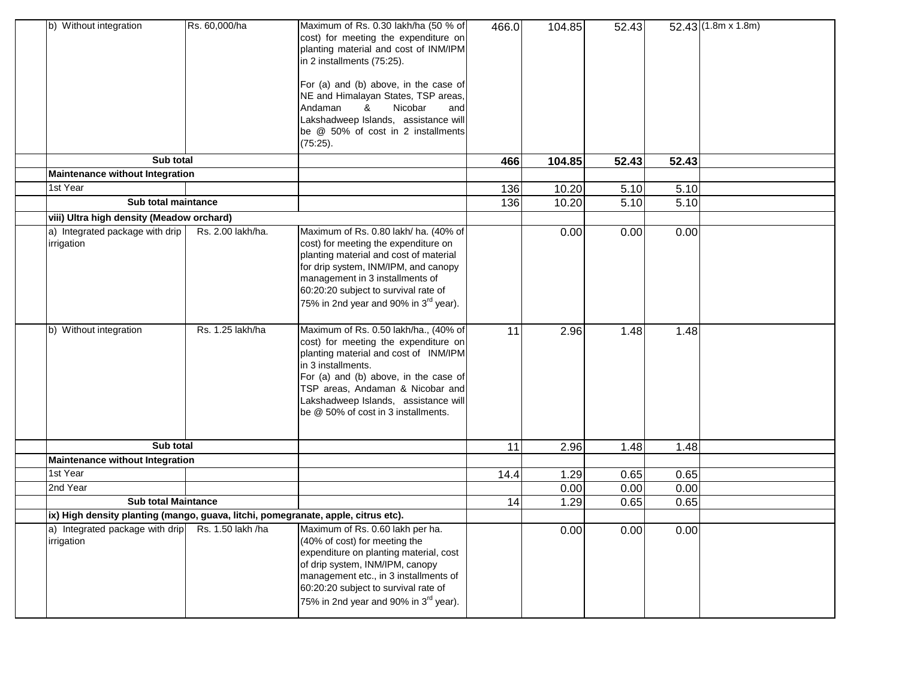| b) Without integration                                                            | Rs. 60,000/ha     | Maximum of Rs. 0.30 lakh/ha (50 % of<br>cost) for meeting the expenditure on<br>planting material and cost of INM/IPM<br>in 2 installments (75:25).<br>For (a) and (b) above, in the case of<br>NE and Himalayan States, TSP areas,<br>Nicobar<br>Andaman<br>&<br>and<br>Lakshadweep Islands, assistance will<br>be @ 50% of cost in 2 installments<br>(75:25). | 466.0 | 104.85 | 52.43 |       | $52.43(1.8m \times 1.8m)$ |
|-----------------------------------------------------------------------------------|-------------------|-----------------------------------------------------------------------------------------------------------------------------------------------------------------------------------------------------------------------------------------------------------------------------------------------------------------------------------------------------------------|-------|--------|-------|-------|---------------------------|
| Sub total                                                                         |                   |                                                                                                                                                                                                                                                                                                                                                                 | 466   | 104.85 | 52.43 | 52.43 |                           |
| <b>Maintenance without Integration</b>                                            |                   |                                                                                                                                                                                                                                                                                                                                                                 |       |        |       |       |                           |
| 1st Year                                                                          |                   |                                                                                                                                                                                                                                                                                                                                                                 | 136   | 10.20  | 5.10  | 5.10  |                           |
| Sub total maintance                                                               |                   |                                                                                                                                                                                                                                                                                                                                                                 | 136   | 10.20  | 5.10  | 5.10  |                           |
| viii) Ultra high density (Meadow orchard)                                         |                   |                                                                                                                                                                                                                                                                                                                                                                 |       |        |       |       |                           |
| a) Integrated package with drip<br>irrigation                                     | Rs. 2.00 lakh/ha. | Maximum of Rs. 0.80 lakh/ ha. (40% of<br>cost) for meeting the expenditure on<br>planting material and cost of material<br>for drip system, INM/IPM, and canopy<br>management in 3 installments of<br>60:20:20 subject to survival rate of<br>75% in 2nd year and 90% in 3 <sup>rd</sup> year).                                                                 |       | 0.00   | 0.00  | 0.00  |                           |
| b) Without integration                                                            | Rs. 1.25 lakh/ha  | Maximum of Rs. 0.50 lakh/ha., (40% of<br>cost) for meeting the expenditure on<br>planting material and cost of INM/IPM<br>in 3 installments.<br>For (a) and (b) above, in the case of<br>TSP areas, Andaman & Nicobar and<br>Lakshadweep Islands, assistance will<br>be @ 50% of cost in 3 installments.                                                        | 11    | 2.96   | 1.48  | 1.48  |                           |
| Sub total                                                                         |                   |                                                                                                                                                                                                                                                                                                                                                                 | 11    | 2.96   | 1.48  | 1.48  |                           |
| <b>Maintenance without Integration</b>                                            |                   |                                                                                                                                                                                                                                                                                                                                                                 |       |        |       |       |                           |
| 1st Year                                                                          |                   |                                                                                                                                                                                                                                                                                                                                                                 | 14.4  | 1.29   | 0.65  | 0.65  |                           |
| 2nd Year                                                                          |                   |                                                                                                                                                                                                                                                                                                                                                                 |       | 0.00   | 0.00  | 0.00  |                           |
| <b>Sub total Maintance</b>                                                        |                   |                                                                                                                                                                                                                                                                                                                                                                 | 14    | 1.29   | 0.65  | 0.65  |                           |
| ix) High density planting (mango, guava, litchi, pomegranate, apple, citrus etc). |                   |                                                                                                                                                                                                                                                                                                                                                                 |       |        |       |       |                           |
| irrigation                                                                        |                   | a) Integrated package with drip Rs. 1.50 lakh /ha Maximum of Rs. 0.60 lakh per ha.<br>(40% of cost) for meeting the<br>expenditure on planting material, cost<br>of drip system, INM/IPM, canopy<br>management etc., in 3 installments of<br>60:20:20 subject to survival rate of<br>75% in 2nd year and 90% in 3 <sup>rd</sup> year).                          |       | 0.00   | 0.00  | 0.00  |                           |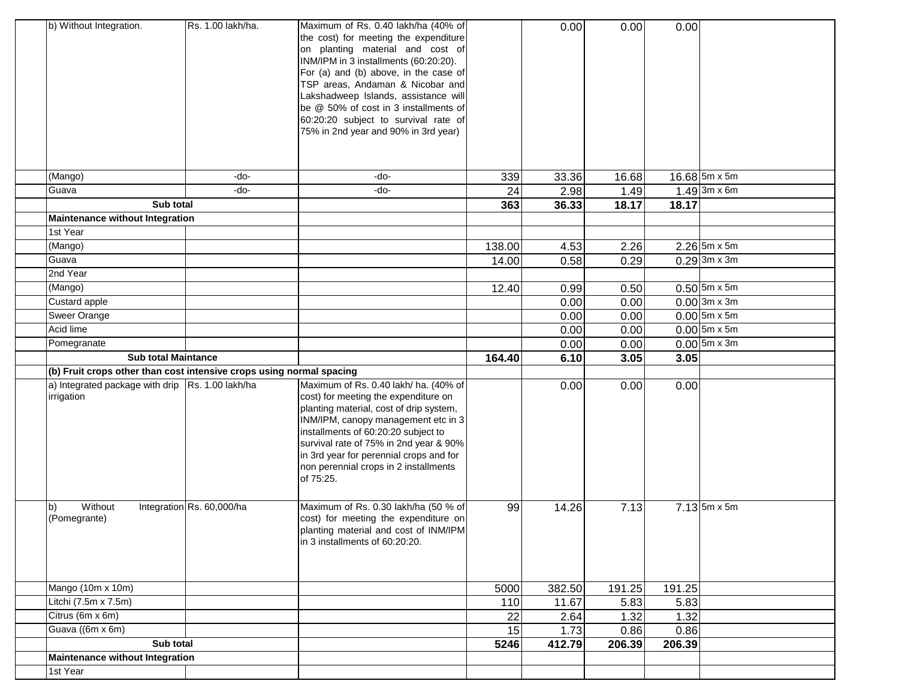| b) Without Integration.                                              | Rs. 1.00 lakh/ha.         | Maximum of Rs. 0.40 lakh/ha (40% of<br>the cost) for meeting the expenditure<br>on planting material and cost of<br>INM/IPM in 3 installments (60:20:20).<br>For (a) and (b) above, in the case of<br>TSP areas, Andaman & Nicobar and<br>Lakshadweep Islands, assistance will<br>be @ 50% of cost in 3 installments of<br>60:20:20 subject to survival rate of<br>75% in 2nd year and 90% in 3rd year) |        | 0.00   | 0.00   | 0.00   |                               |
|----------------------------------------------------------------------|---------------------------|---------------------------------------------------------------------------------------------------------------------------------------------------------------------------------------------------------------------------------------------------------------------------------------------------------------------------------------------------------------------------------------------------------|--------|--------|--------|--------|-------------------------------|
| (Mango)                                                              | -do-                      | -do-                                                                                                                                                                                                                                                                                                                                                                                                    | 339    | 33.36  | 16.68  |        | $16.68$ 5m x 5m               |
| Guava                                                                | -do-                      | -do-                                                                                                                                                                                                                                                                                                                                                                                                    | 24     | 2.98   | 1.49   |        | $1.49$ 3m x 6m                |
| Sub total                                                            |                           |                                                                                                                                                                                                                                                                                                                                                                                                         | 363    | 36.33  | 18.17  | 18.17  |                               |
| Maintenance without Integration<br>1st Year                          |                           |                                                                                                                                                                                                                                                                                                                                                                                                         |        |        |        |        |                               |
| (Mango)                                                              |                           |                                                                                                                                                                                                                                                                                                                                                                                                         | 138.00 | 4.53   | 2.26   |        | $2.26$ 5m x 5m                |
| Guava                                                                |                           |                                                                                                                                                                                                                                                                                                                                                                                                         | 14.00  | 0.58   | 0.29   |        | $0.29$ 3m x 3m                |
| 2nd Year                                                             |                           |                                                                                                                                                                                                                                                                                                                                                                                                         |        |        |        |        |                               |
| (Mango)                                                              |                           |                                                                                                                                                                                                                                                                                                                                                                                                         | 12.40  | 0.99   | 0.50   |        | $0.50$ 5m x 5m                |
| Custard apple                                                        |                           |                                                                                                                                                                                                                                                                                                                                                                                                         |        | 0.00   | 0.00   |        | $0.00$ 3m x 3m                |
| Sweer Orange                                                         |                           |                                                                                                                                                                                                                                                                                                                                                                                                         |        | 0.00   | 0.00   |        | $0.00$ 5m x 5m                |
| Acid lime                                                            |                           |                                                                                                                                                                                                                                                                                                                                                                                                         |        | 0.00   | 0.00   |        | $0.00$ 5m x 5m                |
| Pomegranate                                                          |                           |                                                                                                                                                                                                                                                                                                                                                                                                         |        | 0.00   | 0.00   |        | $0.00$ 5m x 3m                |
| <b>Sub total Maintance</b>                                           |                           |                                                                                                                                                                                                                                                                                                                                                                                                         | 164.40 | 6.10   | 3.05   | 3.05   |                               |
| (b) Fruit crops other than cost intensive crops using normal spacing |                           |                                                                                                                                                                                                                                                                                                                                                                                                         |        |        |        |        |                               |
| a) Integrated package with drip   Rs. 1.00 lakh/ha<br>irrigation     |                           | Maximum of Rs. 0.40 lakh/ ha. (40% of<br>cost) for meeting the expenditure on<br>planting material, cost of drip system,<br>INM/IPM, canopy management etc in 3<br>installments of 60:20:20 subject to<br>survival rate of 75% in 2nd year & 90%<br>in 3rd year for perennial crops and for<br>non perennial crops in 2 installments<br>of 75:25.                                                       |        | 0.00   | 0.00   | 0.00   |                               |
| Without<br>$\vert b \rangle$<br>(Pomegrante)                         | Integration Rs. 60,000/ha | Maximum of Rs. 0.30 lakh/ha (50 % of<br>cost) for meeting the expenditure on<br>planting material and cost of INM/IPM<br>in 3 installments of 60:20:20.                                                                                                                                                                                                                                                 | 99     | 14.26  | 7.13   |        | $7.13\overline{5m \times 5m}$ |
| Mango (10m x 10m)                                                    |                           |                                                                                                                                                                                                                                                                                                                                                                                                         | 5000   | 382.50 | 191.25 | 191.25 |                               |
| Litchi (7.5m x 7.5m)                                                 |                           |                                                                                                                                                                                                                                                                                                                                                                                                         | 110    | 11.67  | 5.83   | 5.83   |                               |
| Citrus (6m x 6m)                                                     |                           |                                                                                                                                                                                                                                                                                                                                                                                                         | 22     | 2.64   | 1.32   | 1.32   |                               |
| Guava ((6m x 6m)                                                     |                           |                                                                                                                                                                                                                                                                                                                                                                                                         | 15     | 1.73   | 0.86   | 0.86   |                               |
| Sub total                                                            |                           |                                                                                                                                                                                                                                                                                                                                                                                                         | 5246   | 412.79 | 206.39 | 206.39 |                               |
| Maintenance without Integration                                      |                           |                                                                                                                                                                                                                                                                                                                                                                                                         |        |        |        |        |                               |
| 1st Year                                                             |                           |                                                                                                                                                                                                                                                                                                                                                                                                         |        |        |        |        |                               |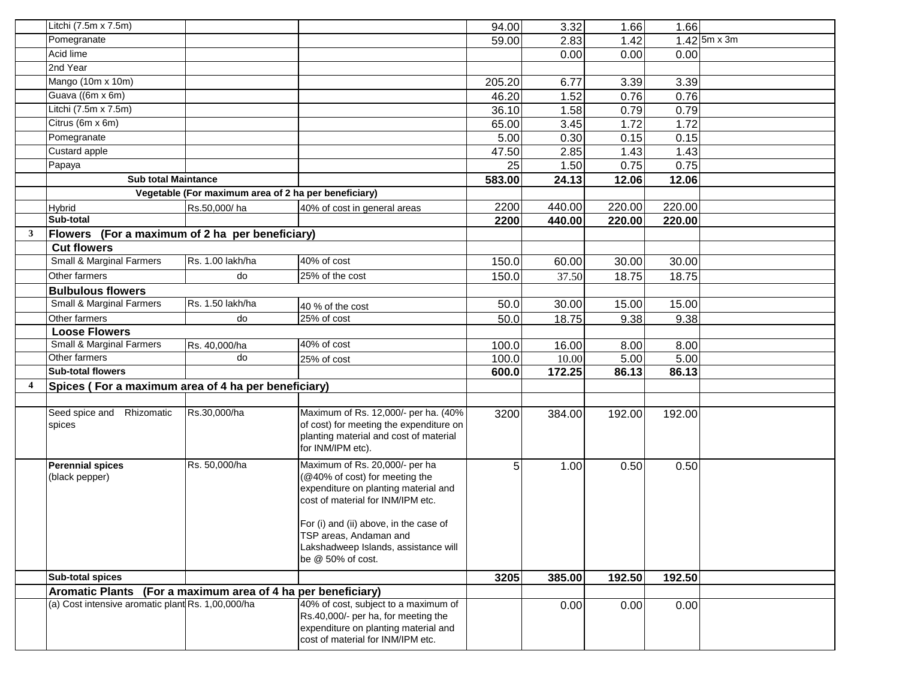|   | Litchi (7.5m x 7.5m)                                         |                                                      |                                                                                                                                                                                                                   | 94.00  | 3.32   | 1.66   | 1.66   |                |
|---|--------------------------------------------------------------|------------------------------------------------------|-------------------------------------------------------------------------------------------------------------------------------------------------------------------------------------------------------------------|--------|--------|--------|--------|----------------|
|   | Pomegranate                                                  |                                                      |                                                                                                                                                                                                                   | 59.00  | 2.83   | 1.42   |        | $1.42$ 5m x 3m |
|   | Acid lime                                                    |                                                      |                                                                                                                                                                                                                   |        | 0.00   | 0.00   | 0.00   |                |
|   | 2nd Year                                                     |                                                      |                                                                                                                                                                                                                   |        |        |        |        |                |
|   | Mango (10m x 10m)                                            |                                                      |                                                                                                                                                                                                                   | 205.20 | 6.77   | 3.39   | 3.39   |                |
|   | Guava ((6m x 6m)                                             |                                                      |                                                                                                                                                                                                                   | 46.20  | 1.52   | 0.76   | 0.76   |                |
|   | Litchi (7.5m x 7.5m)                                         |                                                      |                                                                                                                                                                                                                   | 36.10  | 1.58   | 0.79   | 0.79   |                |
|   | Citrus (6m x 6m)                                             |                                                      |                                                                                                                                                                                                                   | 65.00  | 3.45   | 1.72   | 1.72   |                |
|   | Pomegranate                                                  |                                                      |                                                                                                                                                                                                                   | 5.00   | 0.30   | 0.15   | 0.15   |                |
|   | Custard apple                                                |                                                      |                                                                                                                                                                                                                   | 47.50  | 2.85   | 1.43   | 1.43   |                |
|   | Papaya                                                       |                                                      |                                                                                                                                                                                                                   | 25     | 1.50   | 0.75   | 0.75   |                |
|   | <b>Sub total Maintance</b>                                   |                                                      |                                                                                                                                                                                                                   | 583.00 | 24.13  | 12.06  | 12.06  |                |
|   |                                                              | Vegetable (For maximum area of 2 ha per beneficiary) |                                                                                                                                                                                                                   |        |        |        |        |                |
|   | Hybrid                                                       | Rs.50,000/ha                                         | 40% of cost in general areas                                                                                                                                                                                      | 2200   | 440.00 | 220.00 | 220.00 |                |
|   | Sub-total                                                    |                                                      |                                                                                                                                                                                                                   | 2200   | 440.00 | 220.00 | 220.00 |                |
| 3 | Flowers                                                      | (For a maximum of 2 ha per beneficiary)              |                                                                                                                                                                                                                   |        |        |        |        |                |
|   | <b>Cut flowers</b>                                           |                                                      |                                                                                                                                                                                                                   |        |        |        |        |                |
|   | Small & Marginal Farmers                                     | Rs. 1.00 lakh/ha                                     | 40% of cost                                                                                                                                                                                                       | 150.0  | 60.00  | 30.00  | 30.00  |                |
|   | Other farmers                                                | do                                                   | 25% of the cost                                                                                                                                                                                                   | 150.0  | 37.50  | 18.75  | 18.75  |                |
|   | <b>Bulbulous flowers</b>                                     |                                                      |                                                                                                                                                                                                                   |        |        |        |        |                |
|   | Small & Marginal Farmers                                     | Rs. 1.50 lakh/ha                                     | 40 % of the cost                                                                                                                                                                                                  | 50.0   | 30.00  | 15.00  | 15.00  |                |
|   | Other farmers                                                | do                                                   | 25% of cost                                                                                                                                                                                                       | 50.0   | 18.75  | 9.38   | 9.38   |                |
|   | <b>Loose Flowers</b>                                         |                                                      |                                                                                                                                                                                                                   |        |        |        |        |                |
|   | Small & Marginal Farmers                                     | Rs. 40,000/ha                                        | 40% of cost                                                                                                                                                                                                       | 100.0  | 16.00  | 8.00   | 8.00   |                |
|   | Other farmers                                                | do                                                   | 25% of cost                                                                                                                                                                                                       | 100.0  | 10.00  | 5.00   | 5.00   |                |
|   | Sub-total flowers                                            |                                                      |                                                                                                                                                                                                                   | 600.0  | 172.25 | 86.13  | 86.13  |                |
|   | Spices (For a maximum area of 4 ha per beneficiary)          |                                                      |                                                                                                                                                                                                                   |        |        |        |        |                |
|   |                                                              |                                                      |                                                                                                                                                                                                                   |        |        |        |        |                |
|   | Seed spice and Rhizomatic<br>spices                          | Rs.30,000/ha                                         | Maximum of Rs. 12,000/- per ha. (40%<br>of cost) for meeting the expenditure on<br>planting material and cost of material<br>for INM/IPM etc).                                                                    | 3200   | 384.00 | 192.00 | 192.00 |                |
|   | <b>Perennial spices</b><br>(black pepper)                    | Rs. 50,000/ha                                        | Maximum of Rs. 20,000/- per ha<br>(@40% of cost) for meeting the<br>expenditure on planting material and<br>cost of material for INM/IPM etc.<br>For (i) and (ii) above, in the case of<br>TSP areas, Andaman and | 5      | 1.00   | 0.50   | 0.50   |                |
|   | <b>Sub-total spices</b>                                      |                                                      | Lakshadweep Islands, assistance will<br>be @ 50% of cost.                                                                                                                                                         | 3205   | 385.00 | 192.50 | 192.50 |                |
|   | Aromatic Plants (For a maximum area of 4 ha per beneficiary) |                                                      |                                                                                                                                                                                                                   |        |        |        |        |                |
|   | (a) Cost intensive aromatic plant Rs. 1,00,000/ha            |                                                      | 40% of cost, subject to a maximum of<br>Rs.40,000/- per ha, for meeting the<br>expenditure on planting material and<br>cost of material for INM/IPM etc.                                                          |        | 0.00   | 0.00   | 0.00   |                |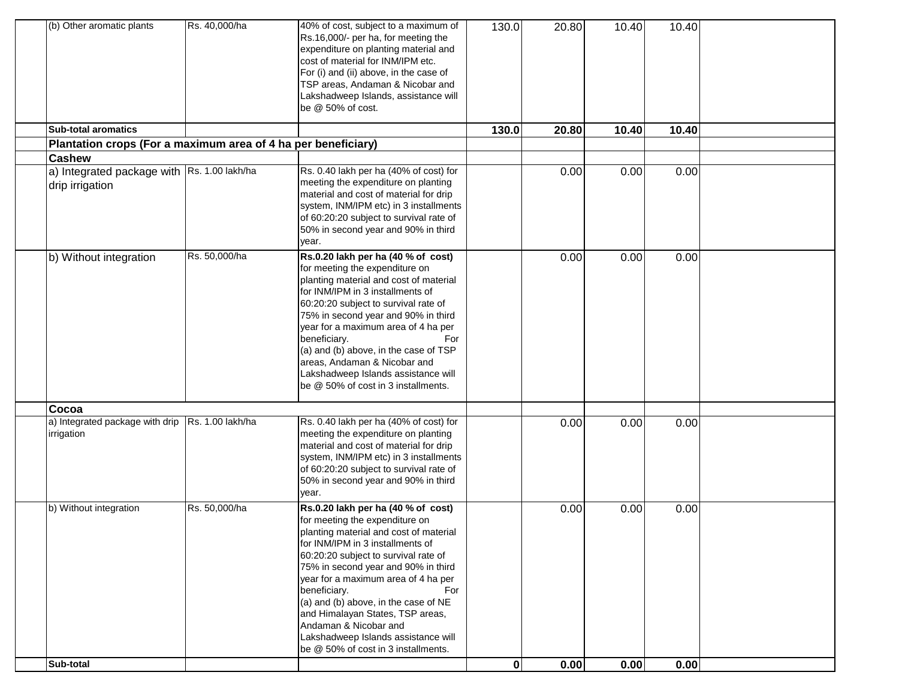| (b) Other aromatic plants                                      | Rs. 40,000/ha    | 40% of cost, subject to a maximum of<br>Rs.16,000/- per ha, for meeting the<br>expenditure on planting material and<br>cost of material for INM/IPM etc.<br>For (i) and (ii) above, in the case of<br>TSP areas, Andaman & Nicobar and<br>Lakshadweep Islands, assistance will<br>be @ 50% of cost.                                                                                                                                                                                | 130.0        | 20.80 | 10.40 | 10.40 |  |
|----------------------------------------------------------------|------------------|------------------------------------------------------------------------------------------------------------------------------------------------------------------------------------------------------------------------------------------------------------------------------------------------------------------------------------------------------------------------------------------------------------------------------------------------------------------------------------|--------------|-------|-------|-------|--|
| <b>Sub-total aromatics</b>                                     |                  |                                                                                                                                                                                                                                                                                                                                                                                                                                                                                    | 130.0        | 20.80 | 10.40 | 10.40 |  |
| Plantation crops (For a maximum area of 4 ha per beneficiary)  |                  |                                                                                                                                                                                                                                                                                                                                                                                                                                                                                    |              |       |       |       |  |
| <b>Cashew</b>                                                  |                  |                                                                                                                                                                                                                                                                                                                                                                                                                                                                                    |              |       |       |       |  |
| a) Integrated package with Rs. 1.00 lakh/ha<br>drip irrigation |                  | Rs. 0.40 lakh per ha (40% of cost) for<br>meeting the expenditure on planting<br>material and cost of material for drip<br>system, INM/IPM etc) in 3 installments<br>of 60:20:20 subject to survival rate of<br>50% in second year and 90% in third<br>year.                                                                                                                                                                                                                       |              | 0.00  | 0.00  | 0.00  |  |
| b) Without integration                                         | Rs. 50,000/ha    | Rs.0.20 lakh per ha (40 % of cost)<br>for meeting the expenditure on<br>planting material and cost of material<br>for INM/IPM in 3 installments of<br>60:20:20 subject to survival rate of<br>75% in second year and 90% in third<br>year for a maximum area of 4 ha per<br>beneficiary.<br>For<br>(a) and (b) above, in the case of TSP<br>areas, Andaman & Nicobar and<br>Lakshadweep Islands assistance will<br>be @ 50% of cost in 3 installments.                             |              | 0.00  | 0.00  | 0.00  |  |
| Cocoa                                                          |                  |                                                                                                                                                                                                                                                                                                                                                                                                                                                                                    |              |       |       |       |  |
| a) Integrated package with drip<br>irrigation                  | Rs. 1.00 lakh/ha | Rs. 0.40 lakh per ha (40% of cost) for<br>meeting the expenditure on planting<br>material and cost of material for drip<br>system, INM/IPM etc) in 3 installments<br>of 60:20:20 subject to survival rate of<br>50% in second year and 90% in third<br>year.                                                                                                                                                                                                                       |              | 0.00  | 0.00  | 0.00  |  |
| b) Without integration                                         | Rs. 50,000/ha    | Rs.0.20 lakh per ha (40 % of cost)<br>for meeting the expenditure on<br>planting material and cost of material<br>for INM/IPM in 3 installments of<br>60:20:20 subject to survival rate of<br>75% in second year and 90% in third<br>year for a maximum area of 4 ha per<br>beneficiary.<br>For<br>(a) and (b) above, in the case of NE<br>and Himalayan States, TSP areas,<br>Andaman & Nicobar and<br>Lakshadweep Islands assistance will<br>be @ 50% of cost in 3 installments. |              | 0.00  | 0.00  | 0.00  |  |
| Sub-total                                                      |                  |                                                                                                                                                                                                                                                                                                                                                                                                                                                                                    | $\mathbf{0}$ | 0.00  | 0.00  | 0.00  |  |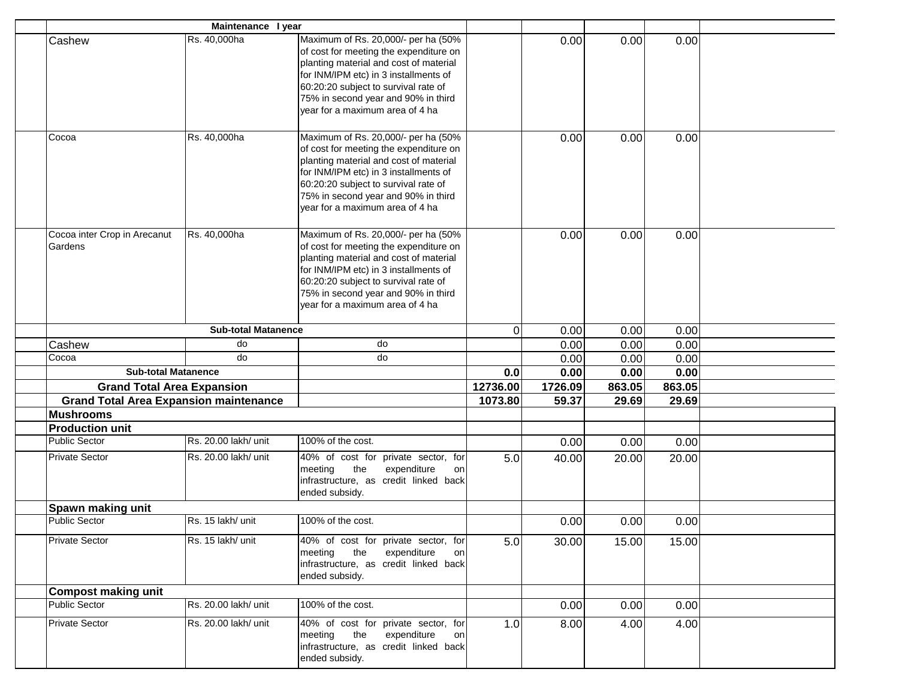|                                                | Maintenance I year         |                                                                                                                                                                                                                                                                                    |          |         |        |        |  |
|------------------------------------------------|----------------------------|------------------------------------------------------------------------------------------------------------------------------------------------------------------------------------------------------------------------------------------------------------------------------------|----------|---------|--------|--------|--|
| Cashew                                         | Rs. 40,000ha               | Maximum of Rs. 20,000/- per ha (50%<br>of cost for meeting the expenditure on<br>planting material and cost of material<br>for INM/IPM etc) in 3 installments of<br>60:20:20 subject to survival rate of<br>75% in second year and 90% in third<br>year for a maximum area of 4 ha |          | 0.00    | 0.00   | 0.00   |  |
| Cocoa                                          | Rs. 40,000ha               | Maximum of Rs. 20,000/- per ha (50%<br>of cost for meeting the expenditure on<br>planting material and cost of material<br>for INM/IPM etc) in 3 installments of<br>60:20:20 subject to survival rate of<br>75% in second year and 90% in third<br>vear for a maximum area of 4 ha |          | 0.00    | 0.00   | 0.00   |  |
| Cocoa inter Crop in Arecanut<br>Gardens        | Rs. 40,000ha               | Maximum of Rs. 20,000/- per ha (50%<br>of cost for meeting the expenditure on<br>planting material and cost of material<br>for INM/IPM etc) in 3 installments of<br>60:20:20 subject to survival rate of<br>75% in second year and 90% in third<br>year for a maximum area of 4 ha |          | 0.00    | 0.00   | 0.00   |  |
|                                                | <b>Sub-total Matanence</b> |                                                                                                                                                                                                                                                                                    | 0        | 0.00    | 0.00   | 0.00   |  |
| Cashew                                         | do                         | do                                                                                                                                                                                                                                                                                 |          | 0.00    | 0.00   | 0.00   |  |
| Cocoa                                          | do                         | do                                                                                                                                                                                                                                                                                 |          | 0.00    | 0.00   | 0.00   |  |
| <b>Sub-total Matanence</b>                     |                            |                                                                                                                                                                                                                                                                                    | 0.0      | 0.00    | 0.00   | 0.00   |  |
| <b>Grand Total Area Expansion</b>              |                            |                                                                                                                                                                                                                                                                                    | 12736.00 | 1726.09 | 863.05 | 863.05 |  |
| <b>Grand Total Area Expansion maintenance</b>  |                            |                                                                                                                                                                                                                                                                                    | 1073.80  | 59.37   | 29.69  | 29.69  |  |
| <b>Mushrooms</b>                               |                            |                                                                                                                                                                                                                                                                                    |          |         |        |        |  |
| <b>Production unit</b><br><b>Public Sector</b> | Rs. 20.00 lakh/ unit       | 100% of the cost.                                                                                                                                                                                                                                                                  |          |         |        |        |  |
|                                                |                            |                                                                                                                                                                                                                                                                                    |          | 0.00    | 0.00   | 0.00   |  |
| <b>Private Sector</b>                          | Rs. 20.00 lakh/ unit       | 40% of cost for private sector, for<br>the<br>meeting<br>expenditure<br>on<br>infrastructure, as credit linked back<br>ended subsidy.                                                                                                                                              | 5.0      | 40.00   | 20.00  | 20.00  |  |
| Spawn making unit                              |                            |                                                                                                                                                                                                                                                                                    |          |         |        |        |  |
| <b>Public Sector</b>                           | Rs. 15 lakh/ unit          | 100% of the cost.                                                                                                                                                                                                                                                                  |          | 0.00    | 0.00   | 0.00   |  |
| <b>Private Sector</b>                          | Rs. 15 lakh/ unit          | 40% of cost for private sector, for<br>meeting<br>the<br>expenditure<br>on<br>infrastructure, as credit linked back<br>ended subsidy.                                                                                                                                              | 5.0      | 30.00   | 15.00  | 15.00  |  |
| <b>Compost making unit</b>                     |                            |                                                                                                                                                                                                                                                                                    |          |         |        |        |  |
| <b>Public Sector</b>                           | Rs. 20.00 lakh/ unit       | 100% of the cost.                                                                                                                                                                                                                                                                  |          | 0.00    | 0.00   | 0.00   |  |
| <b>Private Sector</b>                          | Rs. 20.00 lakh/ unit       | 40% of cost for private sector, for<br>the<br>expenditure<br>meeting<br>on<br>infrastructure, as credit linked back<br>ended subsidy.                                                                                                                                              | 1.0      | 8.00    | 4.00   | 4.00   |  |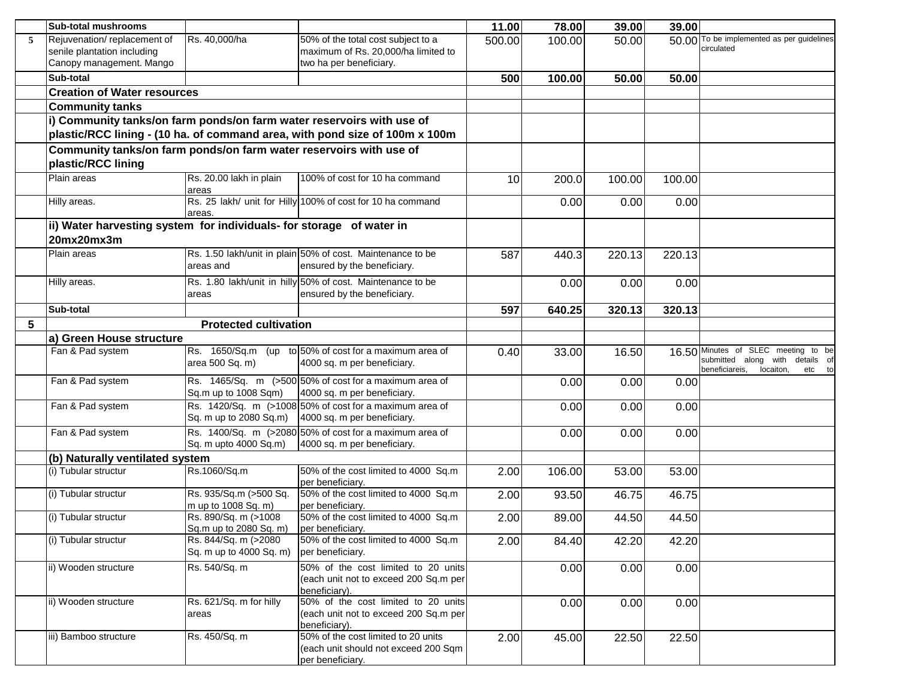|   | <b>Sub-total mushrooms</b>                                            |                                             |                                                                                                  | 11.00  | 78.00  | 39.00  | 39.00  |                                           |
|---|-----------------------------------------------------------------------|---------------------------------------------|--------------------------------------------------------------------------------------------------|--------|--------|--------|--------|-------------------------------------------|
| 5 | Rejuvenation/replacement of                                           | Rs. 40,000/ha                               | 50% of the total cost subject to a                                                               | 500.00 | 100.00 | 50.00  |        | 50.00 To be implemented as per guidelines |
|   | senile plantation including                                           |                                             | maximum of Rs. 20,000/ha limited to                                                              |        |        |        |        | circulated                                |
|   | Canopy management. Mango                                              |                                             | two ha per beneficiary.                                                                          |        |        |        |        |                                           |
|   | Sub-total                                                             |                                             |                                                                                                  | 500    | 100.00 | 50.00  | 50.00  |                                           |
|   | <b>Creation of Water resources</b>                                    |                                             |                                                                                                  |        |        |        |        |                                           |
|   | <b>Community tanks</b>                                                |                                             |                                                                                                  |        |        |        |        |                                           |
|   | i) Community tanks/on farm ponds/on farm water reservoirs with use of |                                             |                                                                                                  |        |        |        |        |                                           |
|   |                                                                       |                                             | plastic/RCC lining - (10 ha. of command area, with pond size of 100m x 100m                      |        |        |        |        |                                           |
|   | Community tanks/on farm ponds/on farm water reservoirs with use of    |                                             |                                                                                                  |        |        |        |        |                                           |
|   | plastic/RCC lining                                                    |                                             |                                                                                                  |        |        |        |        |                                           |
|   | Plain areas                                                           | Rs. 20.00 lakh in plain                     | 100% of cost for 10 ha command                                                                   | 10     | 200.0  | 100.00 | 100.00 |                                           |
|   |                                                                       | areas                                       |                                                                                                  |        |        |        |        |                                           |
|   | Hilly areas.                                                          |                                             | Rs. 25 lakh/ unit for Hilly 100% of cost for 10 ha command                                       |        | 0.00   | 0.00   | 0.00   |                                           |
|   |                                                                       | areas.                                      |                                                                                                  |        |        |        |        |                                           |
|   | ii) Water harvesting system for individuals- for storage of water in  |                                             |                                                                                                  |        |        |        |        |                                           |
|   | 20mx20mx3m<br>Plain areas                                             |                                             | Rs. 1.50 lakh/unit in plain 50% of cost. Maintenance to be                                       |        |        |        |        |                                           |
|   |                                                                       | areas and                                   | ensured by the beneficiary.                                                                      | 587    | 440.3  | 220.13 | 220.13 |                                           |
|   |                                                                       |                                             |                                                                                                  |        |        |        |        |                                           |
|   | Hilly areas.                                                          | areas                                       | Rs. 1.80 lakh/unit in hilly 50% of cost. Maintenance to be<br>ensured by the beneficiary.        |        | 0.00   | 0.00   | 0.00   |                                           |
|   |                                                                       |                                             |                                                                                                  |        |        |        |        |                                           |
|   | Sub-total                                                             |                                             |                                                                                                  | 597    | 640.25 | 320.13 | 320.13 |                                           |
| 5 |                                                                       | <b>Protected cultivation</b>                |                                                                                                  |        |        |        |        |                                           |
|   | a) Green House structure                                              |                                             |                                                                                                  |        |        |        |        | 16.50 Minutes of SLEC meeting to be       |
|   | Fan & Pad system                                                      | area 500 Sq. m)                             | $\textsf{Rs.}$ 1650/Sq.m (up to 50% of cost for a maximum area of<br>4000 sq. m per beneficiary. | 0.40   | 33.00  | 16.50  |        | submitted along with details of           |
|   |                                                                       |                                             |                                                                                                  |        |        |        |        | beneficiareis,<br>locaiton,<br>etc to     |
|   | Fan & Pad system                                                      |                                             | Rs. 1465/Sq. m (>500 50% of cost for a maximum area of                                           |        | 0.00   | 0.00   | 0.00   |                                           |
|   |                                                                       | Sq.m up to 1008 Sqm)                        | 4000 sq. m per beneficiary.<br>Rs. 1420/Sq. m (>1008 50% of cost for a maximum area of           |        |        |        |        |                                           |
|   | Fan & Pad system                                                      |                                             | Sq. m up to 2080 Sq.m) 4000 sq. m per beneficiary.                                               |        | 0.00   | 0.00   | 0.00   |                                           |
|   | Fan & Pad system                                                      |                                             | Rs. 1400/Sq. m (>2080 50% of cost for a maximum area of                                          |        | 0.00   | 0.00   | 0.00   |                                           |
|   |                                                                       | Sq. m upto 4000 Sq.m)                       | 4000 sq. m per beneficiary.                                                                      |        |        |        |        |                                           |
|   | (b) Naturally ventilated system                                       |                                             |                                                                                                  |        |        |        |        |                                           |
|   | (i) Tubular structur                                                  | Rs.1060/Sq.m                                | 50% of the cost limited to 4000 Sq.m                                                             | 2.00   | 106.00 | 53.00  | 53.00  |                                           |
|   |                                                                       |                                             | per beneficiary.                                                                                 |        |        |        |        |                                           |
|   | (i) Tubular structur                                                  | Rs. 935/Sq.m (>500 Sq.                      | 50% of the cost limited to 4000 Sq.m                                                             | 2.00   | 93.50  | 46.75  | 46.75  |                                           |
|   | (i) Tubular structur                                                  | m up to 1008 Sq. m)<br>Rs. 890/Sq. m (>1008 | per beneficiary.<br>50% of the cost limited to 4000 Sq.m                                         |        |        |        |        |                                           |
|   |                                                                       | Sq.m up to 2080 Sq. m)                      | per beneficiary.                                                                                 | 2.00   | 89.00  | 44.50  | 44.50  |                                           |
|   | (i) Tubular structur                                                  | Rs. 844/Sq. m (>2080                        | 50% of the cost limited to 4000 Sq.m                                                             | 2.00   | 84.40  | 42.20  | 42.20  |                                           |
|   |                                                                       | Sq. m up to 4000 Sq. m)                     | per beneficiary.                                                                                 |        |        |        |        |                                           |
|   | ii) Wooden structure                                                  | Rs. 540/Sq. m                               | 50% of the cost limited to 20 units                                                              |        | 0.00   | 0.00   | 0.00   |                                           |
|   |                                                                       |                                             | (each unit not to exceed 200 Sq.m per                                                            |        |        |        |        |                                           |
|   |                                                                       |                                             | beneficiary).                                                                                    |        |        |        |        |                                           |
|   | ii) Wooden structure                                                  | Rs. 621/Sq. m for hilly                     | 50% of the cost limited to 20 units<br>(each unit not to exceed 200 Sq.m per                     |        | 0.00   | 0.00   | 0.00   |                                           |
|   |                                                                       | areas                                       |                                                                                                  |        |        |        |        |                                           |
|   |                                                                       |                                             |                                                                                                  |        |        |        |        |                                           |
|   | iii) Bamboo structure                                                 | Rs. 450/Sq. m                               | beneficiary).<br>50% of the cost limited to 20 units                                             |        |        |        |        |                                           |
|   |                                                                       |                                             | (each unit should not exceed 200 Sqm                                                             | 2.00   | 45.00  | 22.50  | 22.50  |                                           |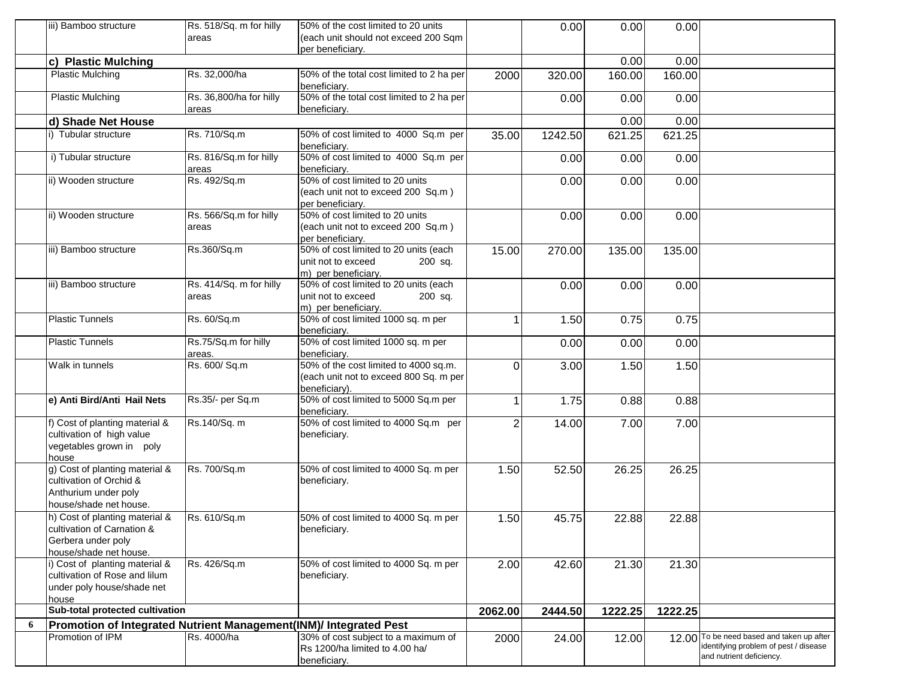|    | iii) Bamboo structure                                                                                        | Rs. 518/Sq. m for hilly<br>areas | 50% of the cost limited to 20 units<br>(each unit should not exceed 200 Sam                      |          | 0.00    | 0.00    | 0.00    |                                                                                                          |
|----|--------------------------------------------------------------------------------------------------------------|----------------------------------|--------------------------------------------------------------------------------------------------|----------|---------|---------|---------|----------------------------------------------------------------------------------------------------------|
|    |                                                                                                              |                                  | per beneficiary.                                                                                 |          |         |         |         |                                                                                                          |
|    | c) Plastic Mulching                                                                                          |                                  |                                                                                                  |          |         | 0.00    | 0.00    |                                                                                                          |
|    | <b>Plastic Mulching</b>                                                                                      | Rs. 32,000/ha                    | 50% of the total cost limited to 2 ha per<br>beneficiary.                                        | 2000     | 320.00  | 160.00  | 160.00  |                                                                                                          |
|    | <b>Plastic Mulching</b>                                                                                      | Rs. 36,800/ha for hilly<br>areas | 50% of the total cost limited to 2 ha per<br>beneficiary.                                        |          | 0.00    | 0.00    | 0.00    |                                                                                                          |
|    | d) Shade Net House                                                                                           |                                  |                                                                                                  |          |         | 0.00    | 0.00    |                                                                                                          |
|    | i) Tubular structure                                                                                         | Rs. 710/Sq.m                     | 50% of cost limited to 4000 Sq.m per<br>beneficiary.                                             | 35.00    | 1242.50 | 621.25  | 621.25  |                                                                                                          |
|    | i) Tubular structure                                                                                         | Rs. 816/Sq.m for hilly<br>areas  | 50% of cost limited to 4000 Sq.m per<br>beneficiary.                                             |          | 0.00    | 0.00    | 0.00    |                                                                                                          |
|    | ii) Wooden structure                                                                                         | Rs. 492/Sq.m                     | 50% of cost limited to 20 units<br>(each unit not to exceed 200 Sq.m)<br>per beneficiary.        |          | 0.00    | 0.00    | 0.00    |                                                                                                          |
|    | ii) Wooden structure                                                                                         | Rs. 566/Sq.m for hilly<br>areas  | 50% of cost limited to 20 units<br>(each unit not to exceed 200 Sq.m)<br>per beneficiary.        |          | 0.00    | 0.00    | 0.00    |                                                                                                          |
|    | iii) Bamboo structure                                                                                        | Rs.360/Sq.m                      | 50% of cost limited to 20 units (each<br>unit not to exceed<br>200 sq.<br>m) per beneficiary.    | 15.00    | 270.00  | 135.00  | 135.00  |                                                                                                          |
|    | iii) Bamboo structure                                                                                        | Rs. 414/Sq. m for hilly<br>areas | 50% of cost limited to 20 units (each<br>unit not to exceed<br>200 sq.<br>m) per beneficiary.    |          | 0.00    | 0.00    | 0.00    |                                                                                                          |
|    | <b>Plastic Tunnels</b>                                                                                       | Rs. 60/Sq.m                      | 50% of cost limited 1000 sq. m per<br>beneficiary.                                               |          | 1.50    | 0.75    | 0.75    |                                                                                                          |
|    | <b>Plastic Tunnels</b>                                                                                       | Rs.75/Sq.m for hilly<br>areas.   | 50% of cost limited 1000 sq. m per<br>beneficiary.                                               |          | 0.00    | 0.00    | 0.00    |                                                                                                          |
|    | Walk in tunnels                                                                                              | Rs. 600/ Sq.m                    | 50% of the cost limited to 4000 sq.m.<br>(each unit not to exceed 800 Sq. m per<br>beneficiary). | $\Omega$ | 3.00    | 1.50    | 1.50    |                                                                                                          |
|    | e) Anti Bird/Anti Hail Nets                                                                                  | Rs.35/- per Sq.m                 | 50% of cost limited to 5000 Sq.m per<br>beneficiary.                                             |          | 1.75    | 0.88    | 0.88    |                                                                                                          |
|    | f) Cost of planting material &<br>cultivation of high value<br>vegetables grown in poly<br>house             | Rs.140/Sq. m                     | 50% of cost limited to 4000 Sq.m per<br>beneficiary.                                             | 2        | 14.00   | 7.00    | 7.00    |                                                                                                          |
|    | g) Cost of planting material &<br>cultivation of Orchid &<br>Anthurium under poly<br>house/shade net house.  | Rs. 700/Sq.m                     | 50% of cost limited to 4000 Sq. m per<br>beneficiary.                                            | 1.50     | 52.50   | 26.25   | 26.25   |                                                                                                          |
|    | h) Cost of planting material &<br>cultivation of Carnation &<br>Gerbera under poly<br>house/shade net house. | Rs. 610/Sq.m                     | 50% of cost limited to 4000 Sq. m per<br>beneficiary.                                            | 1.50     | 45.75   | 22.88   | 22.88   |                                                                                                          |
|    | i) Cost of planting material &<br>cultivation of Rose and lilum<br>under poly house/shade net<br>house       | Rs. 426/Sq.m                     | 50% of cost limited to 4000 Sq. m per<br>beneficiary.                                            | 2.00     | 42.60   | 21.30   | 21.30   |                                                                                                          |
|    | Sub-total protected cultivation                                                                              |                                  |                                                                                                  | 2062.00  | 2444.50 | 1222.25 | 1222.25 |                                                                                                          |
| -6 | Promotion of Integrated Nutrient Management(INM)/ Integrated Pest                                            |                                  |                                                                                                  |          |         |         |         |                                                                                                          |
|    | Promotion of IPM                                                                                             | Rs. 4000/ha                      | 30% of cost subject to a maximum of<br>Rs 1200/ha limited to 4.00 ha/<br>beneficiary.            | 2000     | 24.00   | 12.00   | 12.00   | To be need based and taken up after<br>identifying problem of pest / disease<br>and nutrient deficiency. |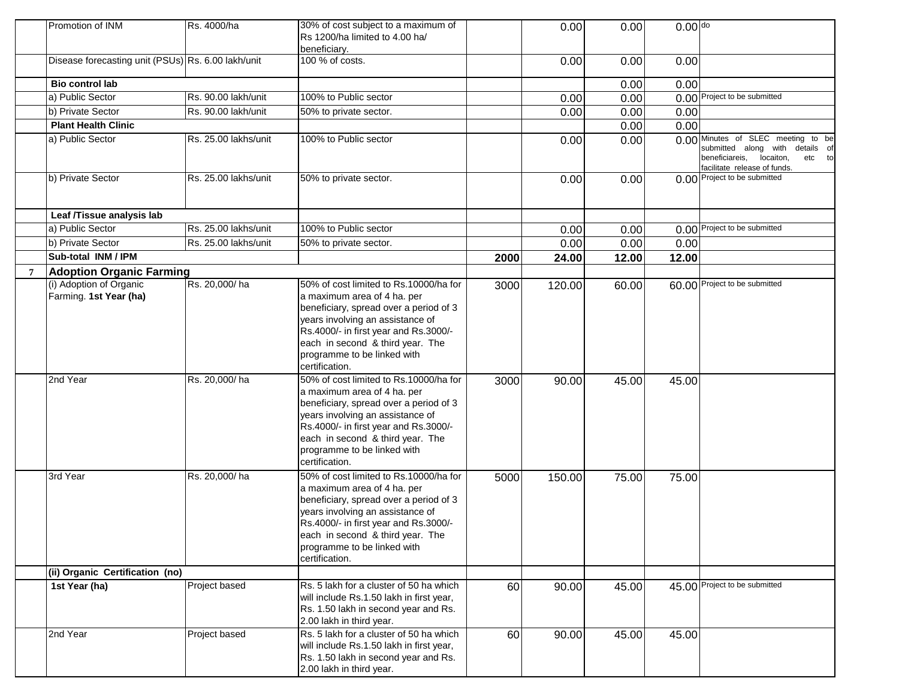| Promotion of INM                                   | Rs. 4000/ha          | 30% of cost subject to a maximum of<br>Rs 1200/ha limited to 4.00 ha/<br>beneficiarv.                                                                                                                                                                                             |      | 0.00   | 0.00  | $0.00$ do |                                                                                                                                             |
|----------------------------------------------------|----------------------|-----------------------------------------------------------------------------------------------------------------------------------------------------------------------------------------------------------------------------------------------------------------------------------|------|--------|-------|-----------|---------------------------------------------------------------------------------------------------------------------------------------------|
| Disease forecasting unit (PSUs) Rs. 6.00 lakh/unit |                      | 100 % of costs.                                                                                                                                                                                                                                                                   |      | 0.00   | 0.00  | 0.00      |                                                                                                                                             |
| <b>Bio control lab</b>                             |                      |                                                                                                                                                                                                                                                                                   |      |        | 0.00  | 0.00      |                                                                                                                                             |
| a) Public Sector                                   | Rs. 90.00 lakh/unit  | 100% to Public sector                                                                                                                                                                                                                                                             |      | 0.00   | 0.00  |           | 0.00 Project to be submitted                                                                                                                |
| b) Private Sector                                  | Rs. 90.00 lakh/unit  | 50% to private sector.                                                                                                                                                                                                                                                            |      | 0.00   | 0.00  | 0.00      |                                                                                                                                             |
| <b>Plant Health Clinic</b>                         |                      |                                                                                                                                                                                                                                                                                   |      |        | 0.00  | 0.00      |                                                                                                                                             |
| a) Public Sector                                   | Rs. 25.00 lakhs/unit | 100% to Public sector                                                                                                                                                                                                                                                             |      | 0.00   | 0.00  |           | 0.00 Minutes of SLEC meeting to be<br>submitted along with details of<br>beneficiareis, locaiton,<br>etc to<br>facilitate release of funds. |
| b) Private Sector                                  | Rs. 25.00 lakhs/unit | 50% to private sector.                                                                                                                                                                                                                                                            |      | 0.00   | 0.00  |           | 0.00 Project to be submitted                                                                                                                |
| Leaf /Tissue analysis lab                          |                      |                                                                                                                                                                                                                                                                                   |      |        |       |           |                                                                                                                                             |
| a) Public Sector                                   | Rs. 25.00 lakhs/unit | 100% to Public sector                                                                                                                                                                                                                                                             |      | 0.00   | 0.00  |           | 0.00 Project to be submitted                                                                                                                |
| b) Private Sector                                  | Rs. 25.00 lakhs/unit | 50% to private sector.                                                                                                                                                                                                                                                            |      | 0.00   | 0.00  | 0.00      |                                                                                                                                             |
| Sub-total INM / IPM                                |                      |                                                                                                                                                                                                                                                                                   | 2000 | 24.00  | 12.00 | 12.00     |                                                                                                                                             |
| <b>Adoption Organic Farming</b>                    |                      |                                                                                                                                                                                                                                                                                   |      |        |       |           |                                                                                                                                             |
| (i) Adoption of Organic                            | Rs. 20,000/ha        | 50% of cost limited to Rs.10000/ha for                                                                                                                                                                                                                                            | 3000 | 120.00 | 60.00 |           | 60.00 Project to be submitted                                                                                                               |
| Farming. 1st Year (ha)                             |                      | a maximum area of 4 ha. per<br>beneficiary, spread over a period of 3<br>years involving an assistance of<br>Rs.4000/- in first year and Rs.3000/-<br>each in second & third year. The<br>programme to be linked with<br>certification.                                           |      |        |       |           |                                                                                                                                             |
| 2nd Year                                           | Rs. 20,000/ha        | 50% of cost limited to Rs.10000/ha for<br>a maximum area of 4 ha. per<br>beneficiary, spread over a period of 3<br>years involving an assistance of<br>Rs.4000/- in first year and Rs.3000/-<br>each in second & third year. The<br>programme to be linked with<br>certification. | 3000 | 90.00  | 45.00 | 45.00     |                                                                                                                                             |
| 3rd Year                                           | Rs. 20,000/ha        | 50% of cost limited to Rs.10000/ha for<br>a maximum area of 4 ha. per<br>beneficiary, spread over a period of 3<br>years involving an assistance of<br>Rs.4000/- in first year and Rs.3000/-<br>each in second & third year. The<br>programme to be linked with<br>certification. | 5000 | 150.00 | 75.00 | 75.00     |                                                                                                                                             |
| (ii) Organic Certification (no)                    |                      |                                                                                                                                                                                                                                                                                   |      |        |       |           |                                                                                                                                             |
| 1st Year (ha)                                      | Project based        | Rs. 5 lakh for a cluster of 50 ha which<br>will include Rs.1.50 lakh in first year,<br>Rs. 1.50 lakh in second year and Rs.<br>2.00 lakh in third year.                                                                                                                           | 60   | 90.00  | 45.00 |           | 45.00 Project to be submitted                                                                                                               |
| 2nd Year                                           | Project based        | Rs. 5 lakh for a cluster of 50 ha which<br>will include Rs.1.50 lakh in first year,<br>Rs. 1.50 lakh in second year and Rs.<br>2.00 lakh in third year.                                                                                                                           | 60   | 90.00  | 45.00 | 45.00     |                                                                                                                                             |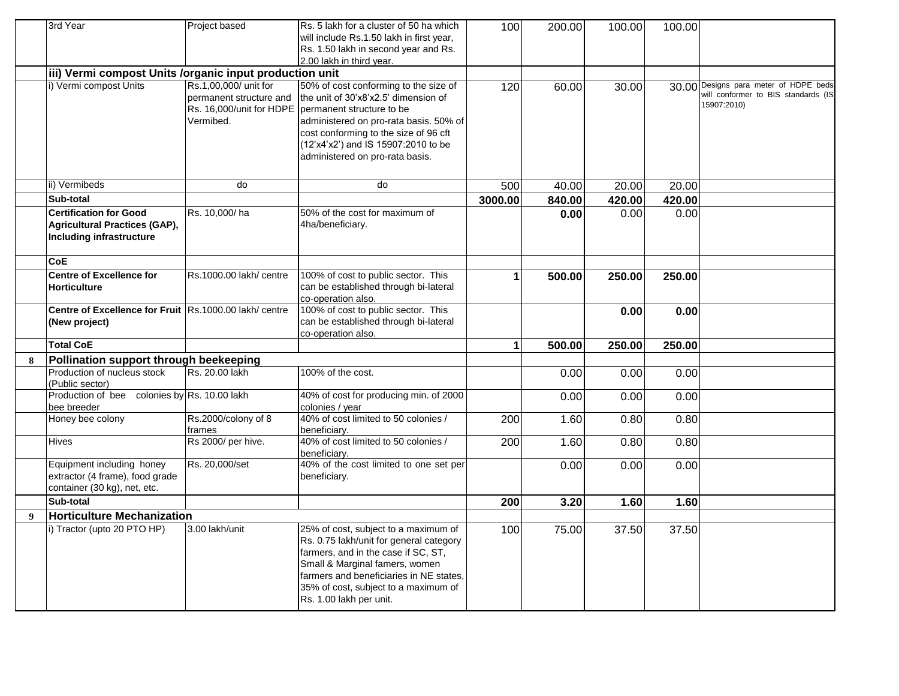|   | 3rd Year                                                | Project based                 | Rs. 5 lakh for a cluster of 50 ha which                                   | 100              | 200.00 | 100.00 | 100.00 |                                     |
|---|---------------------------------------------------------|-------------------------------|---------------------------------------------------------------------------|------------------|--------|--------|--------|-------------------------------------|
|   |                                                         |                               | will include Rs.1.50 lakh in first year,                                  |                  |        |        |        |                                     |
|   |                                                         |                               | Rs. 1.50 lakh in second year and Rs.                                      |                  |        |        |        |                                     |
|   |                                                         |                               | 2.00 lakh in third year.                                                  |                  |        |        |        |                                     |
|   | iii) Vermi compost Units /organic input production unit |                               |                                                                           |                  |        |        |        |                                     |
|   | i) Vermi compost Units                                  | Rs.1,00,000/ unit for         | 50% of cost conforming to the size of                                     | 120              | 60.00  | 30.00  | 30.00  | Designs para meter of HDPE beds     |
|   |                                                         | permanent structure and       | the unit of 30'x8'x2.5' dimension of                                      |                  |        |        |        | will conformer to BIS standards (IS |
|   |                                                         |                               | Rs. 16,000/unit for HDPE   permanent structure to be                      |                  |        |        |        | 15907:2010)                         |
|   |                                                         | Vermibed.                     | administered on pro-rata basis. 50% of                                    |                  |        |        |        |                                     |
|   |                                                         |                               | cost conforming to the size of 96 cft                                     |                  |        |        |        |                                     |
|   |                                                         |                               | (12'x4'x2') and IS 15907:2010 to be                                       |                  |        |        |        |                                     |
|   |                                                         |                               | administered on pro-rata basis.                                           |                  |        |        |        |                                     |
|   |                                                         |                               |                                                                           |                  |        |        |        |                                     |
|   |                                                         | do                            | do                                                                        |                  |        |        |        |                                     |
|   | ii) Vermibeds                                           |                               |                                                                           | 500              | 40.00  | 20.00  | 20.00  |                                     |
|   | Sub-total                                               |                               |                                                                           | 3000.00          | 840.00 | 420.00 | 420.00 |                                     |
|   | <b>Certification for Good</b>                           | Rs. 10,000/ha                 | 50% of the cost for maximum of                                            |                  | 0.00   | 0.00   | 0.00   |                                     |
|   | <b>Agricultural Practices (GAP),</b>                    |                               | 4ha/beneficiary.                                                          |                  |        |        |        |                                     |
|   | <b>Including infrastructure</b>                         |                               |                                                                           |                  |        |        |        |                                     |
|   |                                                         |                               |                                                                           |                  |        |        |        |                                     |
|   | <b>CoE</b>                                              |                               |                                                                           |                  |        |        |        |                                     |
|   | <b>Centre of Excellence for</b>                         | Rs.1000.00 lakh/ centre       | 100% of cost to public sector. This                                       | 1                | 500.00 | 250.00 | 250.00 |                                     |
|   | <b>Horticulture</b>                                     |                               | can be established through bi-lateral                                     |                  |        |        |        |                                     |
|   |                                                         |                               | co-operation also.                                                        |                  |        |        |        |                                     |
|   | Centre of Excellence for Fruit Rs.1000.00 lakh/ centre  |                               | 100% of cost to public sector. This                                       |                  |        | 0.00   | 0.00   |                                     |
|   | (New project)                                           |                               | can be established through bi-lateral                                     |                  |        |        |        |                                     |
|   | <b>Total CoE</b>                                        |                               | co-operation also.                                                        |                  |        |        |        |                                     |
|   |                                                         |                               |                                                                           | 1                | 500.00 | 250.00 | 250.00 |                                     |
| 8 | Pollination support through beekeeping                  |                               |                                                                           |                  |        |        |        |                                     |
|   | Production of nucleus stock                             | Rs. 20.00 lakh                | 100% of the cost.                                                         |                  | 0.00   | 0.00   | 0.00   |                                     |
|   | (Public sector)                                         |                               |                                                                           |                  |        |        |        |                                     |
|   | Production of bee colonies by Rs. 10.00 lakh            |                               | 40% of cost for producing min. of 2000                                    |                  | 0.00   | 0.00   | 0.00   |                                     |
|   | bee breeder                                             |                               | colonies / year<br>40% of cost limited to 50 colonies /                   |                  |        |        |        |                                     |
|   | Honey bee colony                                        | Rs.2000/colony of 8<br>frames |                                                                           | $\overline{200}$ | 1.60   | 0.80   | 0.80   |                                     |
|   | <b>Hives</b>                                            | Rs 2000/ per hive.            | beneficiary.<br>40% of cost limited to 50 colonies /                      |                  |        |        |        |                                     |
|   |                                                         |                               | beneficiarv.                                                              | 200              | 1.60   | 0.80   | 0.80   |                                     |
|   | Equipment including honey                               | Rs. 20,000/set                | 40% of the cost limited to one set per                                    |                  | 0.00   | 0.00   | 0.00   |                                     |
|   | extractor (4 frame), food grade                         |                               | beneficiary.                                                              |                  |        |        |        |                                     |
|   | container (30 kg), net, etc.                            |                               |                                                                           |                  |        |        |        |                                     |
|   | Sub-total                                               |                               |                                                                           | 200              | 3.20   | 1.60   | 1.60   |                                     |
| 9 | <b>Horticulture Mechanization</b>                       |                               |                                                                           |                  |        |        |        |                                     |
|   | i) Tractor (upto 20 PTO HP)                             | 3.00 lakh/unit                | 25% of cost, subject to a maximum of                                      | 100              |        |        | 37.50  |                                     |
|   |                                                         |                               | Rs. 0.75 lakh/unit for general category                                   |                  | 75.00  | 37.50  |        |                                     |
|   |                                                         |                               |                                                                           |                  |        |        |        |                                     |
|   |                                                         |                               | farmers, and in the case if SC, ST,                                       |                  |        |        |        |                                     |
|   |                                                         |                               | Small & Marginal famers, women<br>farmers and beneficiaries in NE states, |                  |        |        |        |                                     |
|   |                                                         |                               |                                                                           |                  |        |        |        |                                     |
|   |                                                         |                               | 35% of cost, subject to a maximum of                                      |                  |        |        |        |                                     |
|   |                                                         |                               | Rs. 1.00 lakh per unit.                                                   |                  |        |        |        |                                     |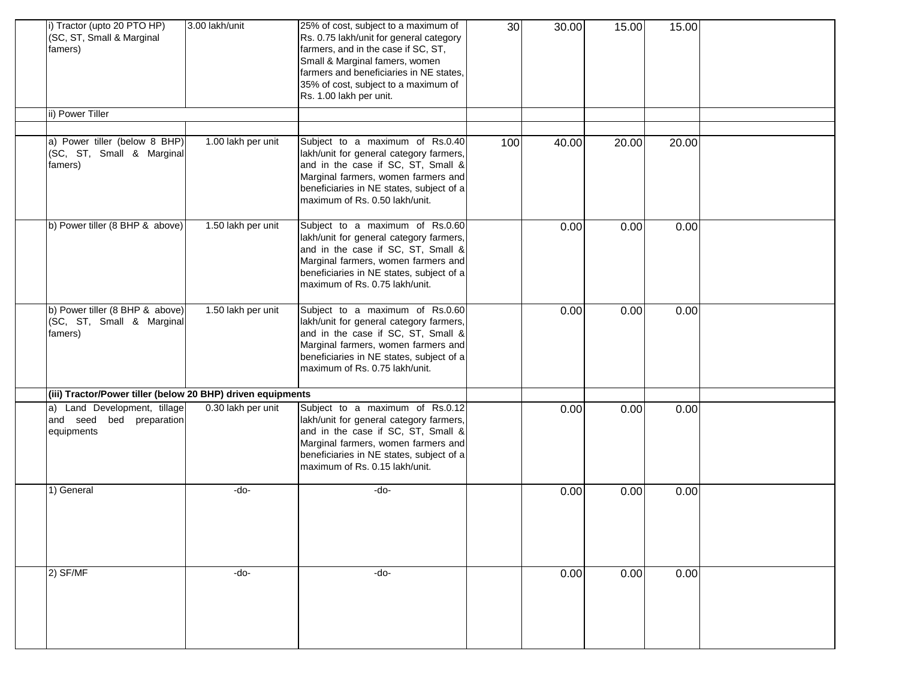| i) Tractor (upto 20 PTO HP)<br>(SC, ST, Small & Marginal<br>famers)     | 3.00 lakh/unit     | 25% of cost, subject to a maximum of<br>Rs. 0.75 lakh/unit for general category<br>farmers, and in the case if SC, ST,<br>Small & Marginal famers, women<br>farmers and beneficiaries in NE states,<br>35% of cost, subject to a maximum of<br>Rs. 1.00 lakh per unit. | 30 <sup>°</sup> | 30.00 | 15.00 | 15.00 |  |
|-------------------------------------------------------------------------|--------------------|------------------------------------------------------------------------------------------------------------------------------------------------------------------------------------------------------------------------------------------------------------------------|-----------------|-------|-------|-------|--|
| ii) Power Tiller                                                        |                    |                                                                                                                                                                                                                                                                        |                 |       |       |       |  |
| a) Power tiller (below 8 BHP)<br>(SC, ST, Small & Marginal<br>famers)   | 1.00 lakh per unit | Subject to a maximum of Rs.0.40<br>lakh/unit for general category farmers,<br>and in the case if SC, ST, Small &<br>Marginal farmers, women farmers and<br>beneficiaries in NE states, subject of a<br>maximum of Rs. 0.50 lakh/unit.                                  | 100             | 40.00 | 20.00 | 20.00 |  |
| b) Power tiller (8 BHP & above)                                         | 1.50 lakh per unit | Subject to a maximum of Rs.0.60<br>lakh/unit for general category farmers,<br>and in the case if SC, ST, Small &<br>Marginal farmers, women farmers and<br>beneficiaries in NE states, subject of a<br>maximum of Rs. 0.75 lakh/unit.                                  |                 | 0.00  | 0.00  | 0.00  |  |
| b) Power tiller (8 BHP & above)<br>(SC, ST, Small & Marginal<br>famers) | 1.50 lakh per unit | Subject to a maximum of Rs.0.60<br>lakh/unit for general category farmers,<br>and in the case if SC, ST, Small &<br>Marginal farmers, women farmers and<br>beneficiaries in NE states, subject of a<br>maximum of Rs. 0.75 lakh/unit.                                  |                 | 0.00  | 0.00  | 0.00  |  |
| (iii) Tractor/Power tiller (below 20 BHP) driven equipments             |                    |                                                                                                                                                                                                                                                                        |                 |       |       |       |  |
| a) Land Development, tillage<br>and seed bed preparation<br>equipments  | 0.30 lakh per unit | Subject to a maximum of Rs.0.12<br>lakh/unit for general category farmers,<br>and in the case if SC, ST, Small &<br>Marginal farmers, women farmers and<br>beneficiaries in NE states, subject of a<br>maximum of Rs. 0.15 lakh/unit.                                  |                 | 0.00  | 0.00  | 0.00  |  |
| 1) General                                                              | -do-               | -do-                                                                                                                                                                                                                                                                   |                 | 0.00  | 0.00  | 0.00  |  |
| 2) SF/MF                                                                | -do-               | -do-                                                                                                                                                                                                                                                                   |                 | 0.00  | 0.00  | 0.00  |  |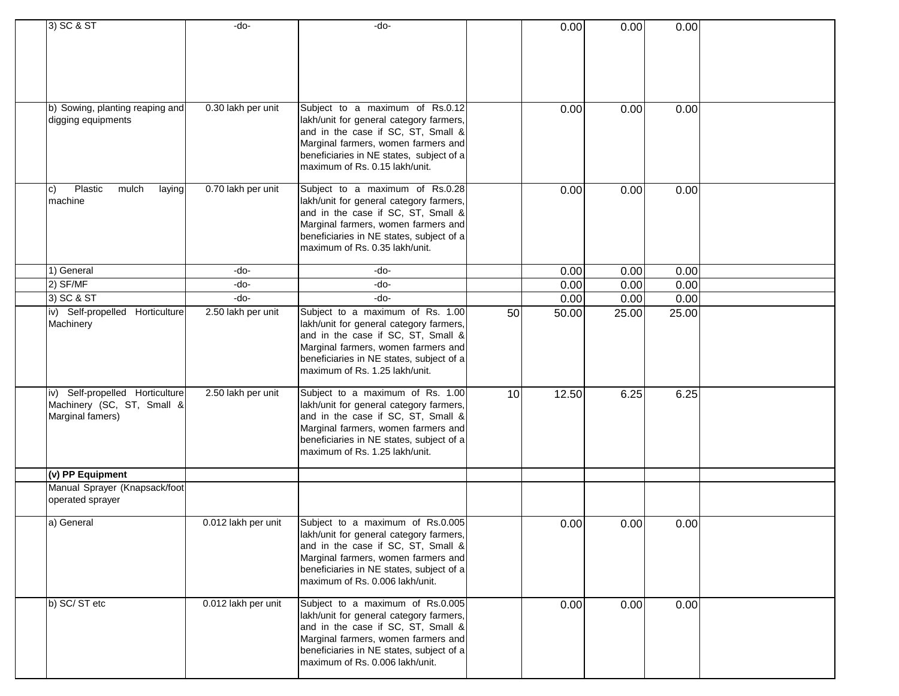| 3) SC & ST                               | -do-                | -do-                                     |    | 0.00  | 0.00  | 0.00  |  |
|------------------------------------------|---------------------|------------------------------------------|----|-------|-------|-------|--|
|                                          |                     |                                          |    |       |       |       |  |
|                                          |                     |                                          |    |       |       |       |  |
|                                          |                     |                                          |    |       |       |       |  |
|                                          |                     |                                          |    |       |       |       |  |
|                                          |                     |                                          |    |       |       |       |  |
|                                          |                     |                                          |    |       |       |       |  |
|                                          | 0.30 lakh per unit  | Subject to a maximum of Rs.0.12          |    | 0.00  |       | 0.00  |  |
| b) Sowing, planting reaping and          |                     | lakh/unit for general category farmers,  |    |       | 0.00  |       |  |
| digging equipments                       |                     |                                          |    |       |       |       |  |
|                                          |                     | and in the case if SC, ST, Small &       |    |       |       |       |  |
|                                          |                     | Marginal farmers, women farmers and      |    |       |       |       |  |
|                                          |                     | beneficiaries in NE states, subject of a |    |       |       |       |  |
|                                          |                     | maximum of Rs. 0.15 lakh/unit.           |    |       |       |       |  |
|                                          |                     |                                          |    |       |       |       |  |
| Plastic<br>mulch<br>laying<br>$\vert$ C) | 0.70 lakh per unit  | Subject to a maximum of Rs.0.28          |    | 0.00  | 0.00  | 0.00  |  |
| machine                                  |                     | lakh/unit for general category farmers,  |    |       |       |       |  |
|                                          |                     | and in the case if SC, ST, Small &       |    |       |       |       |  |
|                                          |                     | Marginal farmers, women farmers and      |    |       |       |       |  |
|                                          |                     | beneficiaries in NE states, subject of a |    |       |       |       |  |
|                                          |                     | maximum of Rs. 0.35 lakh/unit.           |    |       |       |       |  |
|                                          |                     |                                          |    |       |       |       |  |
| 1) General                               | -do-                | -do-                                     |    | 0.00  | 0.00  | 0.00  |  |
| 2) SF/MF                                 | -do-                | -do-                                     |    | 0.00  | 0.00  | 0.00  |  |
| 3) SC & ST                               | $-do-$              | $-do-$                                   |    | 0.00  | 0.00  | 0.00  |  |
| iv) Self-propelled Horticulture          | 2.50 lakh per unit  | Subject to a maximum of Rs. 1.00         | 50 | 50.00 | 25.00 | 25.00 |  |
| Machinery                                |                     | lakh/unit for general category farmers,  |    |       |       |       |  |
|                                          |                     | and in the case if SC, ST, Small &       |    |       |       |       |  |
|                                          |                     | Marginal farmers, women farmers and      |    |       |       |       |  |
|                                          |                     | beneficiaries in NE states, subject of a |    |       |       |       |  |
|                                          |                     | maximum of Rs. 1.25 lakh/unit.           |    |       |       |       |  |
|                                          |                     |                                          |    |       |       |       |  |
| iv) Self-propelled Horticulture          | 2.50 lakh per unit  | Subject to a maximum of Rs. 1.00         | 10 | 12.50 | 6.25  | 6.25  |  |
| Machinery (SC, ST, Small &               |                     | lakh/unit for general category farmers,  |    |       |       |       |  |
| Marginal famers)                         |                     | and in the case if SC, ST, Small &       |    |       |       |       |  |
|                                          |                     | Marginal farmers, women farmers and      |    |       |       |       |  |
|                                          |                     | beneficiaries in NE states, subject of a |    |       |       |       |  |
|                                          |                     | maximum of Rs. 1.25 lakh/unit.           |    |       |       |       |  |
|                                          |                     |                                          |    |       |       |       |  |
| (v) PP Equipment                         |                     |                                          |    |       |       |       |  |
| Manual Sprayer (Knapsack/foot            |                     |                                          |    |       |       |       |  |
| operated sprayer                         |                     |                                          |    |       |       |       |  |
|                                          |                     |                                          |    |       |       |       |  |
| a) General                               | 0.012 lakh per unit | Subject to a maximum of Rs.0.005         |    | 0.00  | 0.00  | 0.00  |  |
|                                          |                     | lakh/unit for general category farmers,  |    |       |       |       |  |
|                                          |                     | and in the case if SC, ST, Small &       |    |       |       |       |  |
|                                          |                     | Marginal farmers, women farmers and      |    |       |       |       |  |
|                                          |                     | beneficiaries in NE states, subject of a |    |       |       |       |  |
|                                          |                     | maximum of Rs. 0.006 lakh/unit.          |    |       |       |       |  |
|                                          |                     |                                          |    |       |       |       |  |
| b) SC/ST etc                             | 0.012 lakh per unit | Subject to a maximum of Rs.0.005         |    | 0.00  | 0.00  | 0.00  |  |
|                                          |                     | lakh/unit for general category farmers,  |    |       |       |       |  |
|                                          |                     | and in the case if SC, ST, Small &       |    |       |       |       |  |
|                                          |                     | Marginal farmers, women farmers and      |    |       |       |       |  |
|                                          |                     | beneficiaries in NE states, subject of a |    |       |       |       |  |
|                                          |                     | maximum of Rs. 0.006 lakh/unit.          |    |       |       |       |  |
|                                          |                     |                                          |    |       |       |       |  |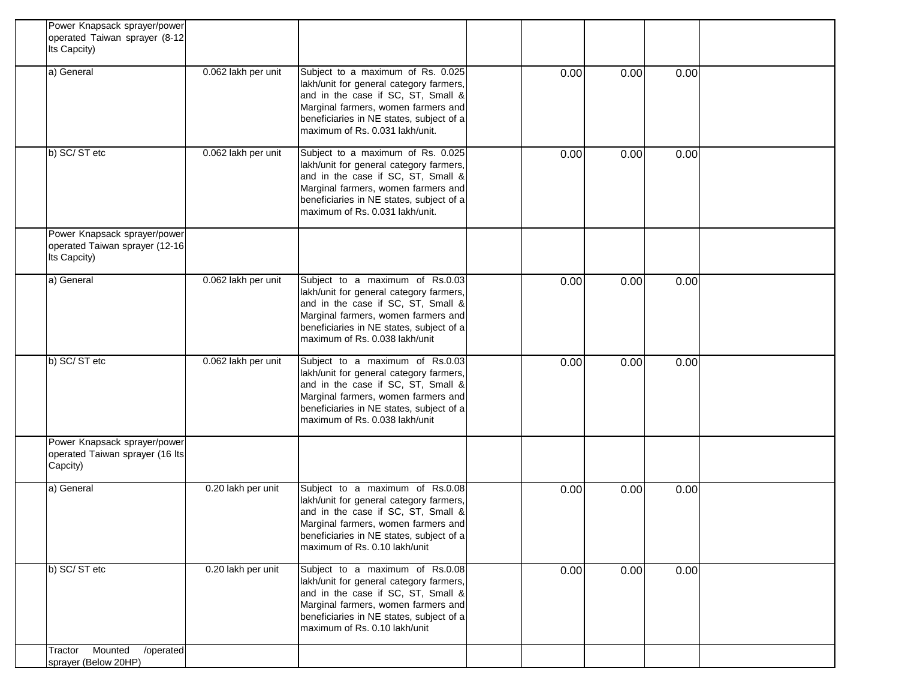| Power Knapsack sprayer/power<br>operated Taiwan sprayer (8-12<br>Its Capcity)  |                     |                                                                                                                                                                                                                                          |      |      |      |  |
|--------------------------------------------------------------------------------|---------------------|------------------------------------------------------------------------------------------------------------------------------------------------------------------------------------------------------------------------------------------|------|------|------|--|
| a) General                                                                     | 0.062 lakh per unit | Subject to a maximum of Rs. 0.025<br>lakh/unit for general category farmers,<br>and in the case if SC, ST, Small &<br>Marginal farmers, women farmers and<br>beneficiaries in NE states, subject of a<br>maximum of Rs. 0.031 lakh/unit. | 0.00 | 0.00 | 0.00 |  |
| b) SC/ST etc                                                                   | 0.062 lakh per unit | Subject to a maximum of Rs. 0.025<br>lakh/unit for general category farmers,<br>and in the case if SC, ST, Small &<br>Marginal farmers, women farmers and<br>beneficiaries in NE states, subject of a<br>maximum of Rs. 0.031 lakh/unit. | 0.00 | 0.00 | 0.00 |  |
| Power Knapsack sprayer/power<br>operated Taiwan sprayer (12-16<br>Its Capcity) |                     |                                                                                                                                                                                                                                          |      |      |      |  |
| a) General                                                                     | 0.062 lakh per unit | Subject to a maximum of Rs.0.03<br>lakh/unit for general category farmers,<br>and in the case if SC, ST, Small &<br>Marginal farmers, women farmers and<br>beneficiaries in NE states, subject of a<br>maximum of Rs. 0.038 lakh/unit    | 0.00 | 0.00 | 0.00 |  |
| b) SC/ST etc                                                                   | 0.062 lakh per unit | Subject to a maximum of Rs.0.03<br>lakh/unit for general category farmers,<br>and in the case if SC, ST, Small &<br>Marginal farmers, women farmers and<br>beneficiaries in NE states, subject of a<br>maximum of Rs. 0.038 lakh/unit    | 0.00 | 0.00 | 0.00 |  |
| Power Knapsack sprayer/power<br>operated Taiwan sprayer (16 Its<br>Capcity)    |                     |                                                                                                                                                                                                                                          |      |      |      |  |
| a) General                                                                     | 0.20 lakh per unit  | Subject to a maximum of Rs.0.08<br>lakh/unit for general category farmers,<br>and in the case if SC, ST, Small &<br>Marginal farmers, women farmers and<br>beneficiaries in NE states, subject of a<br>maximum of Rs. 0.10 lakh/unit     | 0.00 | 0.00 | 0.00 |  |
| b) SC/ST etc                                                                   | 0.20 lakh per unit  | Subject to a maximum of Rs.0.08<br>lakh/unit for general category farmers,<br>and in the case if SC, ST, Small &<br>Marginal farmers, women farmers and<br>beneficiaries in NE states, subject of a<br>maximum of Rs. 0.10 lakh/unit     | 0.00 | 0.00 | 0.00 |  |
| Mounted<br>/operated<br>Tractor<br>sprayer (Below 20HP)                        |                     |                                                                                                                                                                                                                                          |      |      |      |  |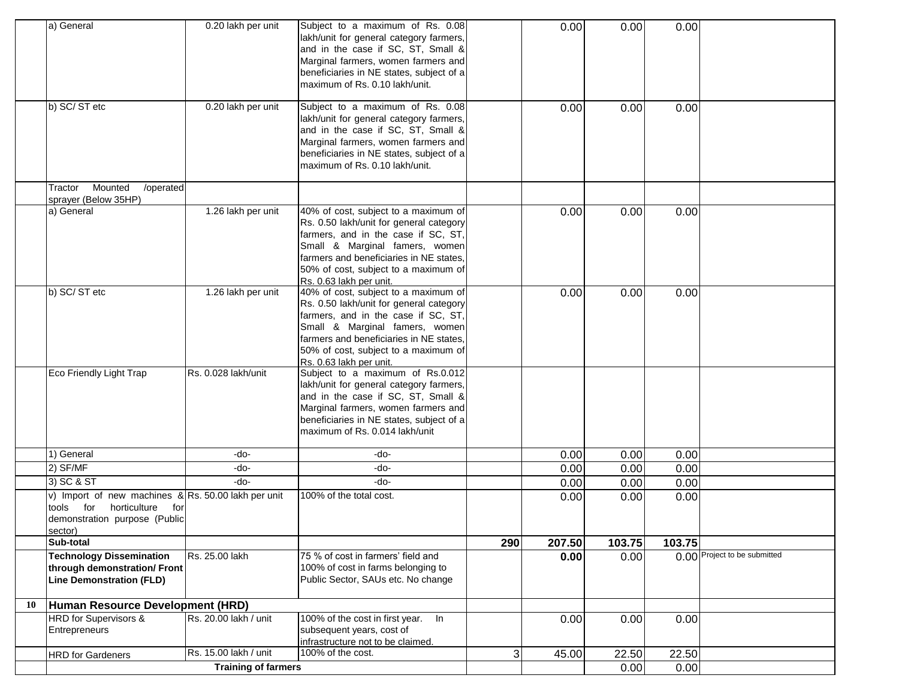|    | a) General                                                                                                                             | 0.20 lakh per unit         | Subject to a maximum of Rs. 0.08<br>lakh/unit for general category farmers,<br>and in the case if SC, ST, Small &<br>Marginal farmers, women farmers and<br>beneficiaries in NE states, subject of a<br>maximum of Rs. 0.10 lakh/unit.                                 |     | 0.00   | 0.00   | 0.00   |                              |
|----|----------------------------------------------------------------------------------------------------------------------------------------|----------------------------|------------------------------------------------------------------------------------------------------------------------------------------------------------------------------------------------------------------------------------------------------------------------|-----|--------|--------|--------|------------------------------|
|    | b) SC/ST etc                                                                                                                           | 0.20 lakh per unit         | Subject to a maximum of Rs. 0.08<br>lakh/unit for general category farmers,<br>and in the case if SC, ST, Small &<br>Marginal farmers, women farmers and<br>beneficiaries in NE states, subject of a<br>maximum of Rs. 0.10 lakh/unit.                                 |     | 0.00   | 0.00   | 0.00   |                              |
|    | Mounted<br>/operated<br>Tractor<br>sprayer (Below 35HP)                                                                                |                            |                                                                                                                                                                                                                                                                        |     |        |        |        |                              |
|    | a) General                                                                                                                             | 1.26 lakh per unit         | 40% of cost, subject to a maximum of<br>Rs. 0.50 lakh/unit for general category<br>farmers, and in the case if SC, ST,<br>Small & Marginal famers, women<br>farmers and beneficiaries in NE states,<br>50% of cost, subject to a maximum of<br>Rs. 0.63 lakh per unit. |     | 0.00   | 0.00   | 0.00   |                              |
|    | b) SC/ST etc                                                                                                                           | 1.26 lakh per unit         | 40% of cost, subject to a maximum of<br>Rs. 0.50 lakh/unit for general category<br>farmers, and in the case if SC, ST,<br>Small & Marginal famers, women<br>farmers and beneficiaries in NE states,<br>50% of cost, subject to a maximum of<br>Rs. 0.63 lakh per unit. |     | 0.00   | 0.00   | 0.00   |                              |
|    | Eco Friendly Light Trap                                                                                                                | Rs. 0.028 lakh/unit        | Subject to a maximum of Rs.0.012<br>lakh/unit for general category farmers,<br>and in the case if SC, ST, Small &<br>Marginal farmers, women farmers and<br>beneficiaries in NE states, subject of a<br>maximum of Rs. 0.014 lakh/unit                                 |     |        |        |        |                              |
|    | 1) General                                                                                                                             | -do-                       | -do-                                                                                                                                                                                                                                                                   |     | 0.00   | 0.00   | 0.00   |                              |
|    | 2) SF/MF                                                                                                                               | -do-                       | -do-                                                                                                                                                                                                                                                                   |     | 0.00   | 0.00   | 0.00   |                              |
|    | 3) SC & ST                                                                                                                             | -do-                       | -do-                                                                                                                                                                                                                                                                   |     | 0.00   | 0.00   | 0.00   |                              |
|    | v) Import of new machines $\&$ Rs. 50.00 lakh per unit<br>tools for<br>horticulture<br>for<br>demonstration purpose (Public<br>sector) |                            | 100% of the total cost.                                                                                                                                                                                                                                                |     | 0.00   | 0.00   | 0.00   |                              |
|    | Sub-total                                                                                                                              |                            |                                                                                                                                                                                                                                                                        | 290 | 207.50 | 103.75 | 103.75 |                              |
|    | <b>Technology Dissemination</b><br>through demonstration/ Front<br><b>Line Demonstration (FLD)</b>                                     | Rs. 25.00 lakh             | 75 % of cost in farmers' field and<br>100% of cost in farms belonging to<br>Public Sector, SAUs etc. No change                                                                                                                                                         |     | 0.00   | 0.00   |        | 0.00 Project to be submitted |
| 10 | Human Resource Development (HRD)                                                                                                       |                            |                                                                                                                                                                                                                                                                        |     |        |        |        |                              |
|    | HRD for Supervisors &<br>Entrepreneurs                                                                                                 | Rs. 20.00 lakh / unit      | 100% of the cost in first year. In<br>subsequent years, cost of<br>infrastructure not to be claimed.                                                                                                                                                                   |     | 0.00   | 0.00   | 0.00   |                              |
|    | <b>HRD</b> for Gardeners                                                                                                               | Rs. 15.00 lakh / unit      | 100% of the cost.                                                                                                                                                                                                                                                      | 3   | 45.00  | 22.50  | 22.50  |                              |
|    |                                                                                                                                        | <b>Training of farmers</b> |                                                                                                                                                                                                                                                                        |     |        | 0.00   | 0.00   |                              |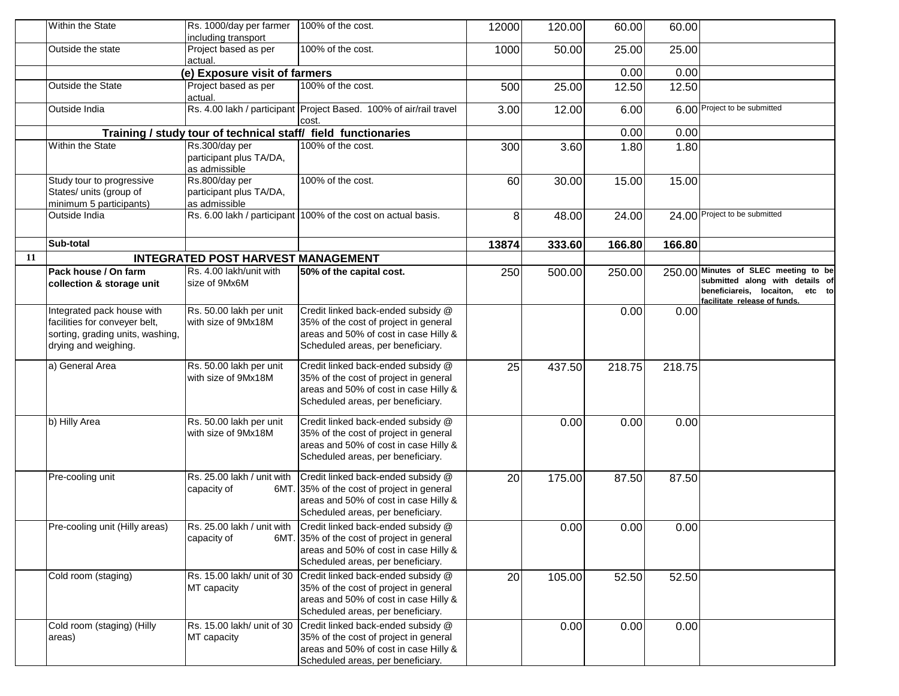|    | Within the State                                                                                                        | Rs. 1000/day per farmer<br>including transport                              | 100% of the cost.                                                                                                                                                                         | 12000 | 120.00 | 60.00  | 60.00  |                                                                                                                                            |
|----|-------------------------------------------------------------------------------------------------------------------------|-----------------------------------------------------------------------------|-------------------------------------------------------------------------------------------------------------------------------------------------------------------------------------------|-------|--------|--------|--------|--------------------------------------------------------------------------------------------------------------------------------------------|
|    | Outside the state                                                                                                       | Project based as per<br>actual.                                             | 100% of the cost.                                                                                                                                                                         | 1000  | 50.00  | 25.00  | 25.00  |                                                                                                                                            |
|    |                                                                                                                         | (e) Exposure visit of farmers                                               |                                                                                                                                                                                           |       |        | 0.00   | 0.00   |                                                                                                                                            |
|    | Outside the State                                                                                                       | Project based as per<br>actual.                                             | 100% of the cost.                                                                                                                                                                         | 500   | 25.00  | 12.50  | 12.50  |                                                                                                                                            |
|    | Outside India                                                                                                           |                                                                             | Rs. 4.00 lakh / participant Project Based. 100% of air/rail travel<br>cost.                                                                                                               | 3.00  | 12.00  | 6.00   |        | 6.00 Project to be submitted                                                                                                               |
|    |                                                                                                                         |                                                                             | Training / study tour of technical staff/ field functionaries                                                                                                                             |       |        | 0.00   | 0.00   |                                                                                                                                            |
|    | Within the State                                                                                                        | Rs.300/day per<br>participant plus TA/DA,                                   | 100% of the cost.                                                                                                                                                                         | 300   | 3.60   | 1.80   | 1.80   |                                                                                                                                            |
|    | Study tour to progressive<br>States/ units (group of<br>minimum 5 participants)                                         | as admissible<br>Rs.800/day per<br>participant plus TA/DA,<br>as admissible | 100% of the cost.                                                                                                                                                                         | 60    | 30.00  | 15.00  | 15.00  |                                                                                                                                            |
|    | Outside India                                                                                                           |                                                                             | Rs. 6.00 lakh / participant 100% of the cost on actual basis.                                                                                                                             | 8     | 48.00  | 24.00  |        | 24.00 Project to be submitted                                                                                                              |
|    | Sub-total                                                                                                               |                                                                             |                                                                                                                                                                                           | 13874 | 333.60 | 166.80 | 166.80 |                                                                                                                                            |
| 11 |                                                                                                                         | <b>INTEGRATED POST HARVEST MANAGEMENT</b>                                   |                                                                                                                                                                                           |       |        |        |        |                                                                                                                                            |
|    | Pack house / On farm<br>collection & storage unit                                                                       | Rs. 4.00 lakh/unit with<br>size of 9Mx6M                                    | 50% of the capital cost.                                                                                                                                                                  | 250   | 500.00 | 250.00 |        | 250.00 Minutes of SLEC meeting to be<br>submitted along with details of<br>beneficiareis, locaiton, etc to<br>facilitate release of funds. |
|    | Integrated pack house with<br>facilities for conveyer belt,<br>sorting, grading units, washing,<br>drying and weighing. | Rs. 50.00 lakh per unit<br>with size of 9Mx18M                              | Credit linked back-ended subsidy @<br>35% of the cost of project in general<br>areas and 50% of cost in case Hilly &<br>Scheduled areas, per beneficiary.                                 |       |        | 0.00   | 0.00   |                                                                                                                                            |
|    | a) General Area                                                                                                         | Rs. 50.00 lakh per unit<br>with size of 9Mx18M                              | Credit linked back-ended subsidy @<br>35% of the cost of project in general<br>areas and 50% of cost in case Hilly &<br>Scheduled areas, per beneficiary.                                 | 25    | 437.50 | 218.75 | 218.75 |                                                                                                                                            |
|    | b) Hilly Area                                                                                                           | Rs. 50.00 lakh per unit<br>with size of 9Mx18M                              | Credit linked back-ended subsidy @<br>35% of the cost of project in general<br>areas and 50% of cost in case Hilly &<br>Scheduled areas, per beneficiary.                                 |       | 0.00   | 0.00   | 0.00   |                                                                                                                                            |
|    | Pre-cooling unit                                                                                                        | capacity of                                                                 | Rs. 25.00 lakh / unit with Credit linked back-ended subsidy @<br>6MT. 35% of the cost of project in general<br>areas and 50% of cost in case Hilly &<br>Scheduled areas, per beneficiary. | 20    | 175.00 | 87.50  | 87.50  |                                                                                                                                            |
|    | Pre-cooling unit (Hilly areas)                                                                                          | capacity of                                                                 | Rs. 25.00 lakh / unit with Credit linked back-ended subsidy @<br>6MT. 35% of the cost of project in general<br>areas and 50% of cost in case Hilly &<br>Scheduled areas, per beneficiary. |       | 0.00   | 0.00   | 0.00   |                                                                                                                                            |
|    | Cold room (staging)                                                                                                     | MT capacity                                                                 | Rs. 15.00 lakh/ unit of 30 Credit linked back-ended subsidy @<br>35% of the cost of project in general<br>areas and 50% of cost in case Hilly &<br>Scheduled areas, per beneficiary.      | 20    | 105.00 | 52.50  | 52.50  |                                                                                                                                            |
|    | Cold room (staging) (Hilly<br>areas)                                                                                    | Rs. 15.00 lakh/ unit of 30<br>MT capacity                                   | Credit linked back-ended subsidy @<br>35% of the cost of project in general<br>areas and 50% of cost in case Hilly &<br>Scheduled areas, per beneficiary.                                 |       | 0.00   | 0.00   | 0.00   |                                                                                                                                            |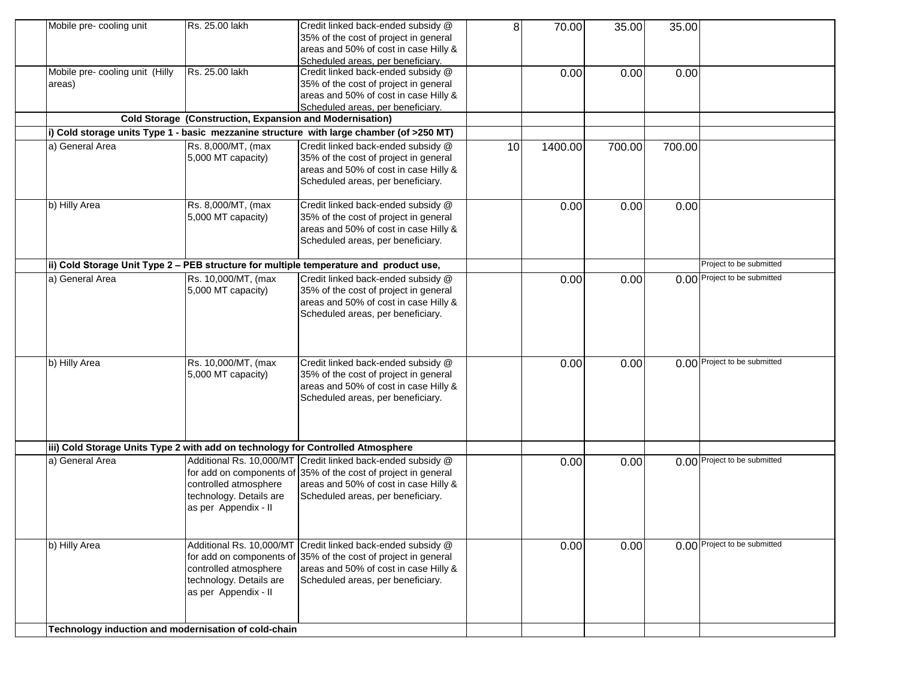| Mobile pre- cooling unit                                                        | Rs. 25.00 lakh                                           | Credit linked back-ended subsidy @                                                        | 8  | 70.00   | 35.00  | 35.00  |                              |
|---------------------------------------------------------------------------------|----------------------------------------------------------|-------------------------------------------------------------------------------------------|----|---------|--------|--------|------------------------------|
|                                                                                 |                                                          | 35% of the cost of project in general                                                     |    |         |        |        |                              |
|                                                                                 |                                                          | areas and 50% of cost in case Hilly &                                                     |    |         |        |        |                              |
|                                                                                 |                                                          | Scheduled areas, per beneficiary.                                                         |    |         |        |        |                              |
| Mobile pre- cooling unit (Hilly                                                 | Rs. 25.00 lakh                                           | Credit linked back-ended subsidy @                                                        |    | 0.00    | 0.00   | 0.00   |                              |
| areas)                                                                          |                                                          | 35% of the cost of project in general                                                     |    |         |        |        |                              |
|                                                                                 |                                                          | areas and 50% of cost in case Hilly &                                                     |    |         |        |        |                              |
|                                                                                 |                                                          | Scheduled areas, per beneficiary.                                                         |    |         |        |        |                              |
|                                                                                 | Cold Storage (Construction, Expansion and Modernisation) |                                                                                           |    |         |        |        |                              |
|                                                                                 |                                                          | (i) Cold storage units Type 1 - basic mezzanine structure with large chamber (of >250 MT) |    |         |        |        |                              |
| a) General Area                                                                 | Rs. 8,000/MT, (max                                       | Credit linked back-ended subsidy @                                                        | 10 | 1400.00 | 700.00 | 700.00 |                              |
|                                                                                 | 5,000 MT capacity)                                       | 35% of the cost of project in general                                                     |    |         |        |        |                              |
|                                                                                 |                                                          | areas and 50% of cost in case Hilly &                                                     |    |         |        |        |                              |
|                                                                                 |                                                          | Scheduled areas, per beneficiary.                                                         |    |         |        |        |                              |
|                                                                                 |                                                          |                                                                                           |    |         |        |        |                              |
| b) Hilly Area                                                                   | Rs. 8,000/MT, (max                                       | Credit linked back-ended subsidy @                                                        |    | 0.00    | 0.00   | 0.00   |                              |
|                                                                                 | 5,000 MT capacity)                                       | 35% of the cost of project in general                                                     |    |         |        |        |                              |
|                                                                                 |                                                          | areas and 50% of cost in case Hilly &                                                     |    |         |        |        |                              |
|                                                                                 |                                                          | Scheduled areas, per beneficiary.                                                         |    |         |        |        |                              |
|                                                                                 |                                                          |                                                                                           |    |         |        |        |                              |
|                                                                                 |                                                          | ii) Cold Storage Unit Type 2 - PEB structure for multiple temperature and product use,    |    |         |        |        | Project to be submitted      |
| a) General Area                                                                 | Rs. 10,000/MT, (max                                      | Credit linked back-ended subsidy @                                                        |    | 0.00    | 0.00   |        | 0.00 Project to be submitted |
|                                                                                 | 5,000 MT capacity)                                       | 35% of the cost of project in general                                                     |    |         |        |        |                              |
|                                                                                 |                                                          | areas and 50% of cost in case Hilly &                                                     |    |         |        |        |                              |
|                                                                                 |                                                          | Scheduled areas, per beneficiary.                                                         |    |         |        |        |                              |
|                                                                                 |                                                          |                                                                                           |    |         |        |        |                              |
|                                                                                 |                                                          |                                                                                           |    |         |        |        |                              |
|                                                                                 |                                                          |                                                                                           |    |         |        |        |                              |
| b) Hilly Area                                                                   | Rs. 10,000/MT, (max                                      | Credit linked back-ended subsidy @                                                        |    | 0.00    | 0.00   |        | 0.00 Project to be submitted |
|                                                                                 | 5,000 MT capacity)                                       | 35% of the cost of project in general                                                     |    |         |        |        |                              |
|                                                                                 |                                                          | areas and 50% of cost in case Hilly &                                                     |    |         |        |        |                              |
|                                                                                 |                                                          | Scheduled areas, per beneficiary.                                                         |    |         |        |        |                              |
|                                                                                 |                                                          |                                                                                           |    |         |        |        |                              |
|                                                                                 |                                                          |                                                                                           |    |         |        |        |                              |
|                                                                                 |                                                          |                                                                                           |    |         |        |        |                              |
| iii) Cold Storage Units Type 2 with add on technology for Controlled Atmosphere |                                                          |                                                                                           |    |         |        |        |                              |
| a) General Area                                                                 |                                                          | Additional Rs. 10,000/MT Credit linked back-ended subsidy @                               |    | 0.00    | 0.00   |        | 0.00 Project to be submitted |
|                                                                                 |                                                          | for add on components of 35% of the cost of project in general                            |    |         |        |        |                              |
|                                                                                 | controlled atmosphere                                    | areas and 50% of cost in case Hilly &                                                     |    |         |        |        |                              |
|                                                                                 | technology. Details are                                  | Scheduled areas, per beneficiary.                                                         |    |         |        |        |                              |
|                                                                                 | as per Appendix - II                                     |                                                                                           |    |         |        |        |                              |
|                                                                                 |                                                          |                                                                                           |    |         |        |        |                              |
|                                                                                 |                                                          |                                                                                           |    |         |        |        |                              |
| b) Hilly Area                                                                   |                                                          | Additional Rs. 10,000/MT Credit linked back-ended subsidy @                               |    | 0.00    | 0.00   |        | 0.00 Project to be submitted |
|                                                                                 |                                                          | for add on components of $35%$ of the cost of project in general                          |    |         |        |        |                              |
|                                                                                 | controlled atmosphere                                    | areas and 50% of cost in case Hilly &                                                     |    |         |        |        |                              |
|                                                                                 | technology. Details are                                  | Scheduled areas, per beneficiary.                                                         |    |         |        |        |                              |
|                                                                                 | as per Appendix - II                                     |                                                                                           |    |         |        |        |                              |
|                                                                                 |                                                          |                                                                                           |    |         |        |        |                              |
|                                                                                 |                                                          |                                                                                           |    |         |        |        |                              |
| Technology induction and modernisation of cold-chain                            |                                                          |                                                                                           |    |         |        |        |                              |
|                                                                                 |                                                          |                                                                                           |    |         |        |        |                              |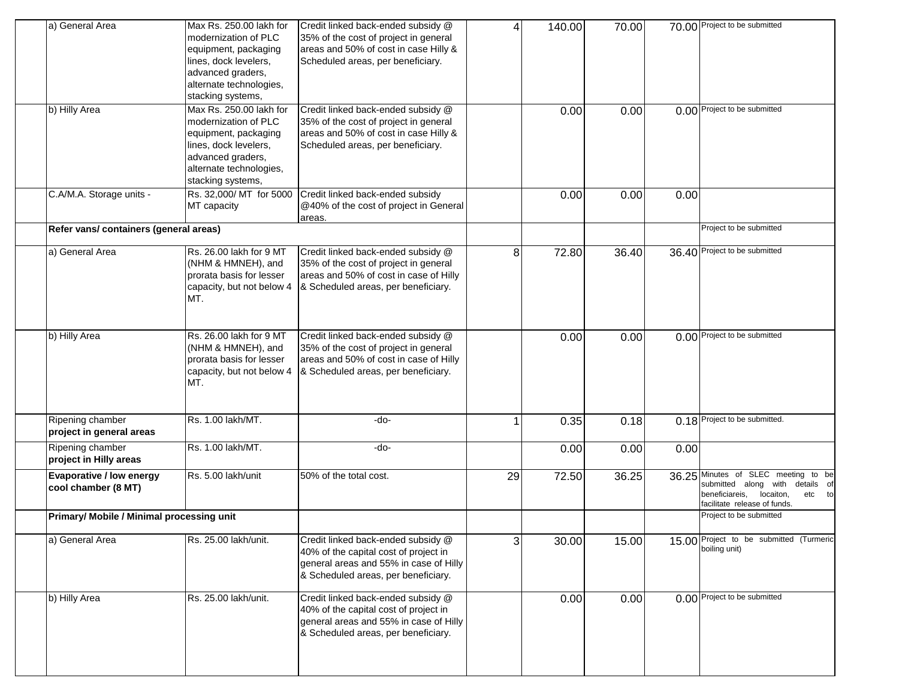| a) General Area                           | Max Rs. 250.00 lakh for          | Credit linked back-ended subsidy @     | 4  | 140.00 | 70.00 |      | 70.00 Project to be submitted           |
|-------------------------------------------|----------------------------------|----------------------------------------|----|--------|-------|------|-----------------------------------------|
|                                           | modernization of PLC             | 35% of the cost of project in general  |    |        |       |      |                                         |
|                                           | equipment, packaging             | areas and 50% of cost in case Hilly &  |    |        |       |      |                                         |
|                                           | lines, dock levelers,            | Scheduled areas, per beneficiary.      |    |        |       |      |                                         |
|                                           | advanced graders,                |                                        |    |        |       |      |                                         |
|                                           | alternate technologies,          |                                        |    |        |       |      |                                         |
|                                           | stacking systems,                |                                        |    |        |       |      |                                         |
| b) Hilly Area                             | Max Rs. 250.00 lakh for          | Credit linked back-ended subsidy @     |    | 0.00   | 0.00  |      | 0.00 Project to be submitted            |
|                                           | modernization of PLC             | 35% of the cost of project in general  |    |        |       |      |                                         |
|                                           | equipment, packaging             | areas and 50% of cost in case Hilly &  |    |        |       |      |                                         |
|                                           | lines, dock levelers,            | Scheduled areas, per beneficiary.      |    |        |       |      |                                         |
|                                           | advanced graders,                |                                        |    |        |       |      |                                         |
|                                           |                                  |                                        |    |        |       |      |                                         |
|                                           | alternate technologies,          |                                        |    |        |       |      |                                         |
|                                           | stacking systems,                |                                        |    |        |       |      |                                         |
| C.A/M.A. Storage units -                  | Rs. 32,000/ MT for 5000          | Credit linked back-ended subsidy       |    | 0.00   | 0.00  | 0.00 |                                         |
|                                           | MT capacity                      | @40% of the cost of project in General |    |        |       |      |                                         |
|                                           |                                  | areas.                                 |    |        |       |      |                                         |
| Refer vans/ containers (general areas)    |                                  |                                        |    |        |       |      | Project to be submitted                 |
| a) General Area                           | Rs. 26.00 lakh for 9 MT          | Credit linked back-ended subsidy @     | 8  | 72.80  | 36.40 |      | 36.40 Project to be submitted           |
|                                           | (NHM & HMNEH), and               | 35% of the cost of project in general  |    |        |       |      |                                         |
|                                           | prorata basis for lesser         | areas and 50% of cost in case of Hilly |    |        |       |      |                                         |
|                                           |                                  | & Scheduled areas, per beneficiary.    |    |        |       |      |                                         |
|                                           | capacity, but not below 4<br>MT. |                                        |    |        |       |      |                                         |
|                                           |                                  |                                        |    |        |       |      |                                         |
|                                           |                                  |                                        |    |        |       |      |                                         |
| b) Hilly Area                             | Rs. 26.00 lakh for 9 MT          | Credit linked back-ended subsidy @     |    | 0.00   | 0.00  |      | 0.00 Project to be submitted            |
|                                           | (NHM & HMNEH), and               | 35% of the cost of project in general  |    |        |       |      |                                         |
|                                           | prorata basis for lesser         | areas and 50% of cost in case of Hilly |    |        |       |      |                                         |
|                                           |                                  |                                        |    |        |       |      |                                         |
|                                           | capacity, but not below 4<br>MT. | & Scheduled areas, per beneficiary.    |    |        |       |      |                                         |
|                                           |                                  |                                        |    |        |       |      |                                         |
|                                           |                                  |                                        |    |        |       |      |                                         |
| Ripening chamber                          | Rs. 1.00 lakh/MT.                | -do-                                   | 1  | 0.35   | 0.18  |      | 0.18 Project to be submitted.           |
| project in general areas                  |                                  |                                        |    |        |       |      |                                         |
| Ripening chamber                          | Rs. 1.00 lakh/MT.                | -do-                                   |    | 0.00   | 0.00  | 0.00 |                                         |
| project in Hilly areas                    |                                  |                                        |    |        |       |      |                                         |
| Evaporative / low energy                  | Rs. 5.00 lakh/unit               | 50% of the total cost.                 | 29 | 72.50  | 36.25 |      | 36.25 Minutes of SLEC meeting<br>to be  |
| cool chamber (8 MT)                       |                                  |                                        |    |        |       |      | submitted along with<br>details of      |
|                                           |                                  |                                        |    |        |       |      | beneficiareis, locaiton,<br>etc to      |
|                                           |                                  |                                        |    |        |       |      | facilitate release of funds.            |
| Primary/ Mobile / Minimal processing unit |                                  |                                        |    |        |       |      | Project to be submitted                 |
| a) General Area                           | Rs. 25.00 lakh/unit.             | Credit linked back-ended subsidy @     | 3  | 30.00  | 15.00 |      | 15.00 Project to be submitted (Turmeric |
|                                           |                                  | 40% of the capital cost of project in  |    |        |       |      | boiling unit)                           |
|                                           |                                  | general areas and 55% in case of Hilly |    |        |       |      |                                         |
|                                           |                                  | & Scheduled areas, per beneficiary.    |    |        |       |      |                                         |
|                                           |                                  |                                        |    |        |       |      |                                         |
| b) Hilly Area                             | Rs. 25.00 lakh/unit.             | Credit linked back-ended subsidy @     |    | 0.00   | 0.00  |      | 0.00 Project to be submitted            |
|                                           |                                  | 40% of the capital cost of project in  |    |        |       |      |                                         |
|                                           |                                  | general areas and 55% in case of Hilly |    |        |       |      |                                         |
|                                           |                                  | & Scheduled areas, per beneficiary.    |    |        |       |      |                                         |
|                                           |                                  |                                        |    |        |       |      |                                         |
|                                           |                                  |                                        |    |        |       |      |                                         |
|                                           |                                  |                                        |    |        |       |      |                                         |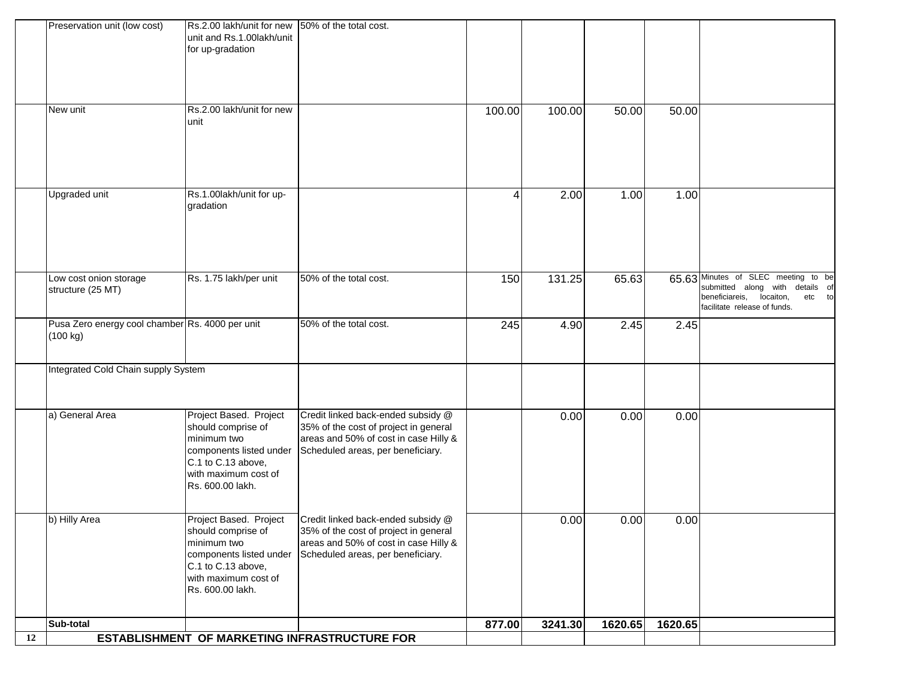|    | Preservation unit (low cost)                                | Rs.2.00 lakh/unit for new 50% of the total cost.<br>unit and Rs.1.00lakh/unit<br>for up-gradation                                                        |                                                                                                                                                           |        |         |         |         |                                                                                                                                              |
|----|-------------------------------------------------------------|----------------------------------------------------------------------------------------------------------------------------------------------------------|-----------------------------------------------------------------------------------------------------------------------------------------------------------|--------|---------|---------|---------|----------------------------------------------------------------------------------------------------------------------------------------------|
|    | New unit                                                    | Rs.2.00 lakh/unit for new<br>unit                                                                                                                        |                                                                                                                                                           | 100.00 | 100.00  | 50.00   | 50.00   |                                                                                                                                              |
|    | Upgraded unit                                               | Rs.1.00lakh/unit for up-<br>gradation                                                                                                                    |                                                                                                                                                           | 4      | 2.00    | 1.00    | 1.00    |                                                                                                                                              |
|    | Low cost onion storage<br>structure (25 MT)                 | Rs. 1.75 lakh/per unit                                                                                                                                   | 50% of the total cost.                                                                                                                                    | 150    | 131.25  | 65.63   |         | 65.63 Minutes of SLEC meeting to be<br>submitted along with details of<br>beneficiareis, locaiton,<br>etc to<br>facilitate release of funds. |
|    | Pusa Zero energy cool chamber Rs. 4000 per unit<br>(100 kg) |                                                                                                                                                          | 50% of the total cost.                                                                                                                                    | 245    | 4.90    | 2.45    | 2.45    |                                                                                                                                              |
|    | Integrated Cold Chain supply System                         |                                                                                                                                                          |                                                                                                                                                           |        |         |         |         |                                                                                                                                              |
|    | a) General Area                                             | Project Based. Project<br>should comprise of<br>minimum two<br>components listed under<br>C.1 to C.13 above,<br>with maximum cost of<br>Rs. 600.00 lakh. | Credit linked back-ended subsidy @<br>35% of the cost of project in general<br>areas and 50% of cost in case Hilly &<br>Scheduled areas, per beneficiary. |        | 0.00    | 0.00    | 0.00    |                                                                                                                                              |
|    | b) Hilly Area                                               | Project Based. Project<br>should comprise of<br>minimum two<br>components listed under<br>C.1 to C.13 above,<br>with maximum cost of<br>Rs. 600.00 lakh. | Credit linked back-ended subsidy @<br>35% of the cost of project in general<br>areas and 50% of cost in case Hilly &<br>Scheduled areas, per beneficiary. |        | 0.00    | 0.00    | 0.00    |                                                                                                                                              |
|    | Sub-total                                                   |                                                                                                                                                          |                                                                                                                                                           | 877.00 | 3241.30 | 1620.65 | 1620.65 |                                                                                                                                              |
| 12 |                                                             |                                                                                                                                                          | ESTABLISHMENT OF MARKETING INFRASTRUCTURE FOR                                                                                                             |        |         |         |         |                                                                                                                                              |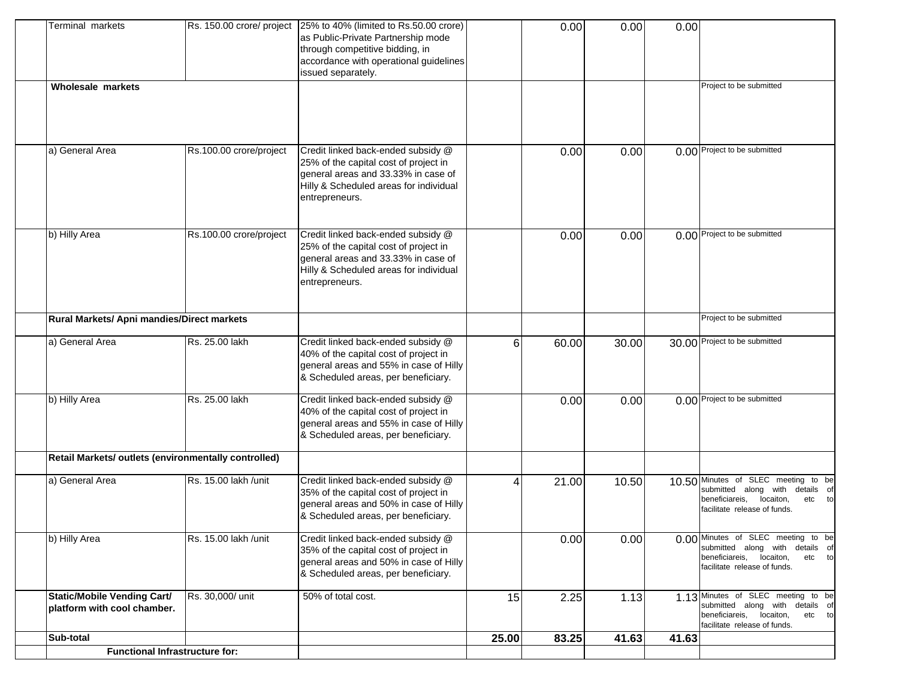| <b>Terminal markets</b>                                           |                         | Rs. 150.00 crore/ project 25% to 40% (limited to Rs.50.00 crore) |       | 0.00  | 0.00  | 0.00  |                                                                       |
|-------------------------------------------------------------------|-------------------------|------------------------------------------------------------------|-------|-------|-------|-------|-----------------------------------------------------------------------|
|                                                                   |                         | as Public-Private Partnership mode                               |       |       |       |       |                                                                       |
|                                                                   |                         | through competitive bidding, in                                  |       |       |       |       |                                                                       |
|                                                                   |                         | accordance with operational guidelines                           |       |       |       |       |                                                                       |
|                                                                   |                         | issued separately.                                               |       |       |       |       |                                                                       |
| <b>Wholesale markets</b>                                          |                         |                                                                  |       |       |       |       | Project to be submitted                                               |
|                                                                   |                         |                                                                  |       |       |       |       |                                                                       |
|                                                                   |                         |                                                                  |       |       |       |       |                                                                       |
|                                                                   |                         |                                                                  |       |       |       |       |                                                                       |
|                                                                   |                         |                                                                  |       |       |       |       |                                                                       |
| a) General Area                                                   | Rs.100.00 crore/project | Credit linked back-ended subsidy @                               |       |       |       |       | 0.00 Project to be submitted                                          |
|                                                                   |                         | 25% of the capital cost of project in                            |       | 0.00  | 0.00  |       |                                                                       |
|                                                                   |                         | general areas and 33.33% in case of                              |       |       |       |       |                                                                       |
|                                                                   |                         | Hilly & Scheduled areas for individual                           |       |       |       |       |                                                                       |
|                                                                   |                         | entrepreneurs.                                                   |       |       |       |       |                                                                       |
|                                                                   |                         |                                                                  |       |       |       |       |                                                                       |
|                                                                   |                         |                                                                  |       |       |       |       |                                                                       |
| b) Hilly Area                                                     | Rs.100.00 crore/project | Credit linked back-ended subsidy @                               |       | 0.00  | 0.00  |       | 0.00 Project to be submitted                                          |
|                                                                   |                         | 25% of the capital cost of project in                            |       |       |       |       |                                                                       |
|                                                                   |                         | general areas and 33.33% in case of                              |       |       |       |       |                                                                       |
|                                                                   |                         | Hilly & Scheduled areas for individual                           |       |       |       |       |                                                                       |
|                                                                   |                         | entrepreneurs.                                                   |       |       |       |       |                                                                       |
|                                                                   |                         |                                                                  |       |       |       |       |                                                                       |
|                                                                   |                         |                                                                  |       |       |       |       |                                                                       |
| Rural Markets/ Apni mandies/Direct markets                        |                         |                                                                  |       |       |       |       | Project to be submitted                                               |
|                                                                   |                         |                                                                  |       |       |       |       |                                                                       |
| a) General Area                                                   | Rs. 25.00 lakh          | Credit linked back-ended subsidy @                               | 6     | 60.00 | 30.00 |       | 30.00 Project to be submitted                                         |
|                                                                   |                         | 40% of the capital cost of project in                            |       |       |       |       |                                                                       |
|                                                                   |                         | general areas and 55% in case of Hilly                           |       |       |       |       |                                                                       |
|                                                                   |                         | & Scheduled areas, per beneficiary.                              |       |       |       |       |                                                                       |
|                                                                   |                         |                                                                  |       |       |       |       |                                                                       |
| b) Hilly Area                                                     | Rs. 25.00 lakh          | Credit linked back-ended subsidy @                               |       | 0.00  | 0.00  |       | 0.00 Project to be submitted                                          |
|                                                                   |                         | 40% of the capital cost of project in                            |       |       |       |       |                                                                       |
|                                                                   |                         | general areas and 55% in case of Hilly                           |       |       |       |       |                                                                       |
|                                                                   |                         | & Scheduled areas, per beneficiary.                              |       |       |       |       |                                                                       |
| Retail Markets/ outlets (environmentally controlled)              |                         |                                                                  |       |       |       |       |                                                                       |
|                                                                   |                         |                                                                  |       |       |       |       |                                                                       |
| a) General Area                                                   | Rs. 15.00 lakh /unit    | Credit linked back-ended subsidy @                               | 4     | 21.00 | 10.50 |       | 10.50 Minutes of SLEC meeting to be                                   |
|                                                                   |                         | 35% of the capital cost of project in                            |       |       |       |       | submitted along with details of                                       |
|                                                                   |                         | general areas and 50% in case of Hilly                           |       |       |       |       | beneficiareis,<br>locaiton,<br>etc to                                 |
|                                                                   |                         | & Scheduled areas, per beneficiary.                              |       |       |       |       | facilitate release of funds.                                          |
|                                                                   |                         |                                                                  |       |       |       |       |                                                                       |
| b) Hilly Area                                                     | Rs. 15.00 lakh /unit    | Credit linked back-ended subsidy @                               |       | 0.00  | 0.00  |       | 0.00 Minutes of SLEC meeting to be                                    |
|                                                                   |                         | 35% of the capital cost of project in                            |       |       |       |       | submitted along with details of<br>beneficiareis, locaiton,<br>etc to |
|                                                                   |                         | general areas and 50% in case of Hilly                           |       |       |       |       | facilitate release of funds.                                          |
|                                                                   |                         | & Scheduled areas, per beneficiary.                              |       |       |       |       |                                                                       |
|                                                                   | Rs. 30,000/ unit        | 50% of total cost.                                               |       |       |       |       | 1.13 Minutes of SLEC meeting to be                                    |
| <b>Static/Mobile Vending Cart/</b><br>platform with cool chamber. |                         |                                                                  | 15    | 2.25  | 1.13  |       | submitted along with details of                                       |
|                                                                   |                         |                                                                  |       |       |       |       | beneficiareis, locaiton,<br>etc to                                    |
|                                                                   |                         |                                                                  |       |       |       |       | facilitate release of funds.                                          |
| Sub-total                                                         |                         |                                                                  | 25.00 | 83.25 | 41.63 | 41.63 |                                                                       |
| <b>Functional Infrastructure for:</b>                             |                         |                                                                  |       |       |       |       |                                                                       |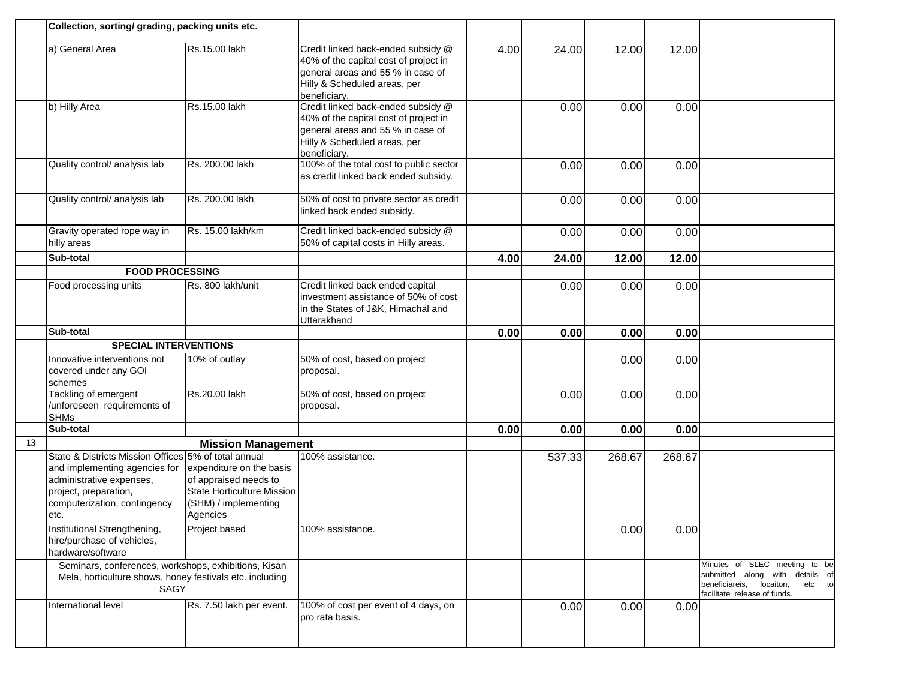|    | Collection, sorting/ grading, packing units etc.                                                                                                                                   |                                                                                                                            |                                                                                                                                                                  |      |        |        |        |                                                                                                                                        |
|----|------------------------------------------------------------------------------------------------------------------------------------------------------------------------------------|----------------------------------------------------------------------------------------------------------------------------|------------------------------------------------------------------------------------------------------------------------------------------------------------------|------|--------|--------|--------|----------------------------------------------------------------------------------------------------------------------------------------|
|    | a) General Area                                                                                                                                                                    | Rs.15.00 lakh                                                                                                              | Credit linked back-ended subsidy @<br>40% of the capital cost of project in<br>general areas and 55 % in case of<br>Hilly & Scheduled areas, per<br>beneficiary. | 4.00 | 24.00  | 12.00  | 12.00  |                                                                                                                                        |
|    | b) Hilly Area                                                                                                                                                                      | Rs.15.00 lakh                                                                                                              | Credit linked back-ended subsidy @<br>40% of the capital cost of project in<br>general areas and 55 % in case of<br>Hilly & Scheduled areas, per<br>beneficiary. |      | 0.00   | 0.00   | 0.00   |                                                                                                                                        |
|    | Quality control/ analysis lab                                                                                                                                                      | Rs. 200.00 lakh                                                                                                            | 100% of the total cost to public sector<br>as credit linked back ended subsidy.                                                                                  |      | 0.00   | 0.00   | 0.00   |                                                                                                                                        |
|    | Quality control/ analysis lab                                                                                                                                                      | Rs. 200.00 lakh                                                                                                            | 50% of cost to private sector as credit<br>linked back ended subsidy.                                                                                            |      | 0.00   | 0.00   | 0.00   |                                                                                                                                        |
|    | Gravity operated rope way in<br>hilly areas                                                                                                                                        | Rs. 15.00 lakh/km                                                                                                          | Credit linked back-ended subsidy @<br>50% of capital costs in Hilly areas.                                                                                       |      | 0.00   | 0.00   | 0.00   |                                                                                                                                        |
|    | Sub-total                                                                                                                                                                          |                                                                                                                            |                                                                                                                                                                  | 4.00 | 24.00  | 12.00  | 12.00  |                                                                                                                                        |
|    | <b>FOOD PROCESSING</b>                                                                                                                                                             |                                                                                                                            |                                                                                                                                                                  |      |        |        |        |                                                                                                                                        |
|    | Food processing units                                                                                                                                                              | Rs. 800 lakh/unit                                                                                                          | Credit linked back ended capital<br>investment assistance of 50% of cost<br>in the States of J&K, Himachal and<br>Uttarakhand                                    |      | 0.00   | 0.00   | 0.00   |                                                                                                                                        |
|    | Sub-total                                                                                                                                                                          |                                                                                                                            |                                                                                                                                                                  | 0.00 | 0.00   | 0.00   | 0.00   |                                                                                                                                        |
|    | <b>SPECIAL INTERVENTIONS</b>                                                                                                                                                       |                                                                                                                            |                                                                                                                                                                  |      |        |        |        |                                                                                                                                        |
|    | Innovative interventions not<br>covered under any GOI<br>schemes                                                                                                                   | 10% of outlay                                                                                                              | 50% of cost, based on project<br>proposal.                                                                                                                       |      |        | 0.00   | 0.00   |                                                                                                                                        |
|    | Tackling of emergent<br>/unforeseen requirements of<br><b>SHMs</b>                                                                                                                 | Rs.20.00 lakh                                                                                                              | 50% of cost, based on project<br>proposal.                                                                                                                       |      | 0.00   | 0.00   | 0.00   |                                                                                                                                        |
|    | Sub-total                                                                                                                                                                          |                                                                                                                            |                                                                                                                                                                  | 0.00 | 0.00   | 0.00   | 0.00   |                                                                                                                                        |
| 13 |                                                                                                                                                                                    | <b>Mission Management</b>                                                                                                  |                                                                                                                                                                  |      |        |        |        |                                                                                                                                        |
|    | State & Districts Mission Offices 5% of total annual<br>and implementing agencies for<br>administrative expenses,<br>project, preparation,<br>computerization, contingency<br>etc. | expenditure on the basis<br>of appraised needs to<br><b>State Horticulture Mission</b><br>(SHM) / implementing<br>Agencies | 100% assistance.                                                                                                                                                 |      | 537.33 | 268.67 | 268.67 |                                                                                                                                        |
|    | Institutional Strengthening,<br>hire/purchase of vehicles,<br>hardware/software                                                                                                    | Project based                                                                                                              | 100% assistance.                                                                                                                                                 |      |        | 0.00   | 0.00   |                                                                                                                                        |
|    | Seminars, conferences, workshops, exhibitions, Kisan<br>Mela, horticulture shows, honey festivals etc. including<br><b>SAGY</b>                                                    |                                                                                                                            |                                                                                                                                                                  |      |        |        |        | Minutes of SLEC meeting to be<br>submitted along with details of<br>beneficiareis, locaiton,<br>etc to<br>facilitate release of funds. |
|    | International level                                                                                                                                                                | Rs. 7.50 lakh per event.                                                                                                   | 100% of cost per event of 4 days, on<br>pro rata basis.                                                                                                          |      | 0.00   | 0.00   | 0.00   |                                                                                                                                        |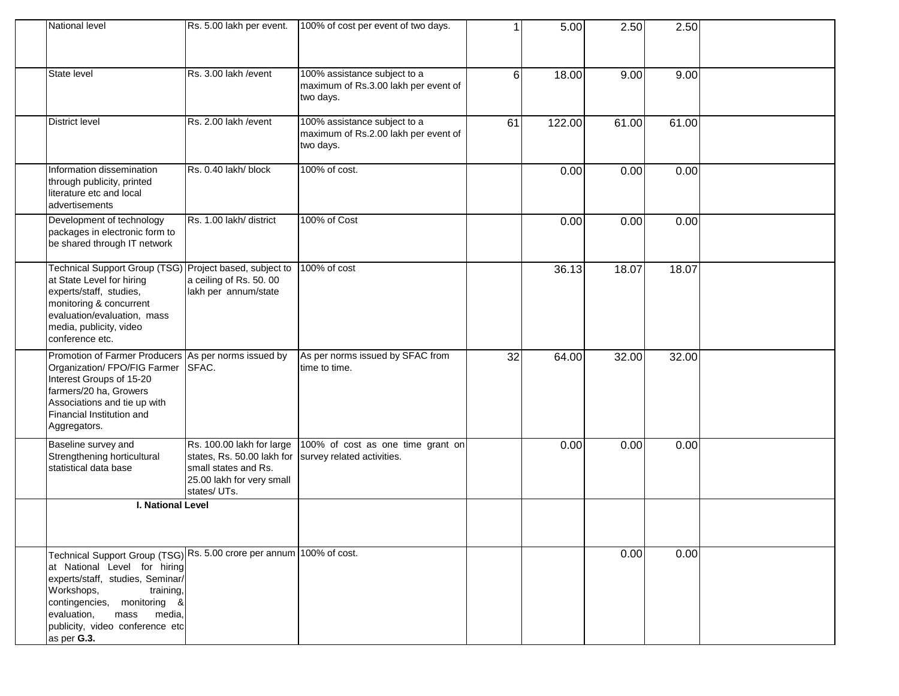| National level                                                                                                                                                                                                                                                                        | Rs. 5.00 lakh per event.                                                                                                    | 100% of cost per event of two days.                                               | 1  | 5.00   | 2.50  | 2.50  |  |
|---------------------------------------------------------------------------------------------------------------------------------------------------------------------------------------------------------------------------------------------------------------------------------------|-----------------------------------------------------------------------------------------------------------------------------|-----------------------------------------------------------------------------------|----|--------|-------|-------|--|
| State level                                                                                                                                                                                                                                                                           | Rs. 3.00 lakh / event                                                                                                       | 100% assistance subject to a<br>maximum of Rs.3.00 lakh per event of<br>two days. | 6  | 18.00  | 9.00  | 9.00  |  |
| <b>District level</b>                                                                                                                                                                                                                                                                 | Rs. 2.00 lakh / event                                                                                                       | 100% assistance subject to a<br>maximum of Rs.2.00 lakh per event of<br>two days. | 61 | 122.00 | 61.00 | 61.00 |  |
| Information dissemination<br>through publicity, printed<br>literature etc and local<br>advertisements                                                                                                                                                                                 | Rs. 0.40 lakh/ block                                                                                                        | 100% of cost.                                                                     |    | 0.00   | 0.00  | 0.00  |  |
| Development of technology<br>packages in electronic form to<br>be shared through IT network                                                                                                                                                                                           | Rs. 1.00 lakh/ district                                                                                                     | 100% of Cost                                                                      |    | 0.00   | 0.00  | 0.00  |  |
| Technical Support Group (TSG) Project based, subject to<br>at State Level for hiring<br>experts/staff, studies,<br>monitoring & concurrent<br>evaluation/evaluation, mass<br>media, publicity, video<br>conference etc.                                                               | a ceiling of Rs. 50.00<br>lakh per annum/state                                                                              | 100% of cost                                                                      |    | 36.13  | 18.07 | 18.07 |  |
| Promotion of Farmer Producers As per norms issued by<br>Organization/ FPO/FIG Farmer<br>Interest Groups of 15-20<br>farmers/20 ha, Growers<br>Associations and tie up with<br>Financial Institution and<br>Aggregators.                                                               | SFAC.                                                                                                                       | As per norms issued by SFAC from<br>time to time.                                 | 32 | 64.00  | 32.00 | 32.00 |  |
| Baseline survey and<br>Strengthening horticultural<br>statistical data base                                                                                                                                                                                                           | Rs. 100.00 lakh for large<br>states, Rs. 50.00 lakh for<br>small states and Rs.<br>25.00 lakh for very small<br>states/UTs. | 100% of cost as one time grant on<br>survey related activities.                   |    | 0.00   | 0.00  | 0.00  |  |
| I. National Level                                                                                                                                                                                                                                                                     |                                                                                                                             |                                                                                   |    |        |       |       |  |
|                                                                                                                                                                                                                                                                                       |                                                                                                                             |                                                                                   |    |        |       |       |  |
| Technical Support Group (TSG) Rs. 5.00 crore per annum 100% of cost.<br>at National Level for hiring<br>experts/staff, studies, Seminar/<br>Workshops,<br>training,<br>contingencies, monitoring &<br>evaluation,<br>mass<br>media,<br>publicity, video conference etc<br>as per G.3. |                                                                                                                             |                                                                                   |    |        | 0.00  | 0.00  |  |